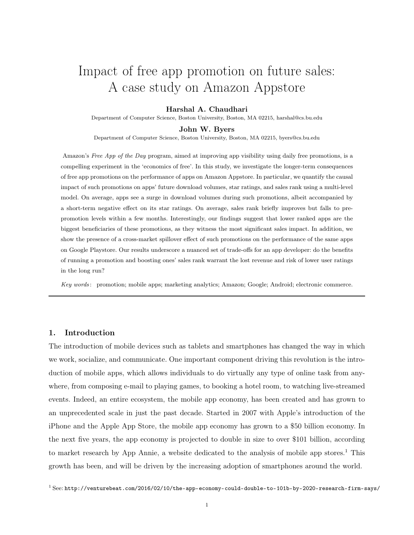# Impact of free app promotion on future sales: A case study on Amazon Appstore

## Harshal A. Chaudhari

Department of Computer Science, Boston University, Boston, MA 02215, harshal@cs.bu.edu

## John W. Byers

Department of Computer Science, Boston University, Boston, MA 02215, byers@cs.bu.edu

Amazon's Free App of the Day program, aimed at improving app visibility using daily free promotions, is a compelling experiment in the 'economics of free'. In this study, we investigate the longer-term consequences of free app promotions on the performance of apps on Amazon Appstore. In particular, we quantify the causal impact of such promotions on apps' future download volumes, star ratings, and sales rank using a multi-level model. On average, apps see a surge in download volumes during such promotions, albeit accompanied by a short-term negative effect on its star ratings. On average, sales rank briefly improves but falls to prepromotion levels within a few months. Interestingly, our findings suggest that lower ranked apps are the biggest beneficiaries of these promotions, as they witness the most significant sales impact. In addition, we show the presence of a cross-market spillover effect of such promotions on the performance of the same apps on Google Playstore. Our results underscore a nuanced set of trade-offs for an app developer: do the benefits of running a promotion and boosting ones' sales rank warrant the lost revenue and risk of lower user ratings in the long run?

Key words: promotion; mobile apps; marketing analytics; Amazon; Google; Android; electronic commerce.

# 1. Introduction

The introduction of mobile devices such as tablets and smartphones has changed the way in which we work, socialize, and communicate. One important component driving this revolution is the introduction of mobile apps, which allows individuals to do virtually any type of online task from anywhere, from composing e-mail to playing games, to booking a hotel room, to watching live-streamed events. Indeed, an entire ecosystem, the mobile app economy, has been created and has grown to an unprecedented scale in just the past decade. Started in 2007 with Apple's introduction of the iPhone and the Apple App Store, the mobile app economy has grown to a \$50 billion economy. In the next five years, the app economy is projected to double in size to over \$101 billion, according to market research by App Annie, a website dedicated to the analysis of mobile app stores.<sup>1</sup> This growth has been, and will be driven by the increasing adoption of smartphones around the world.

 $^1\rm{See:}\,http://venturebeat.com/2016/02/10/the-app-economy-could-double-to-101b-by-2020-research-firm-says/$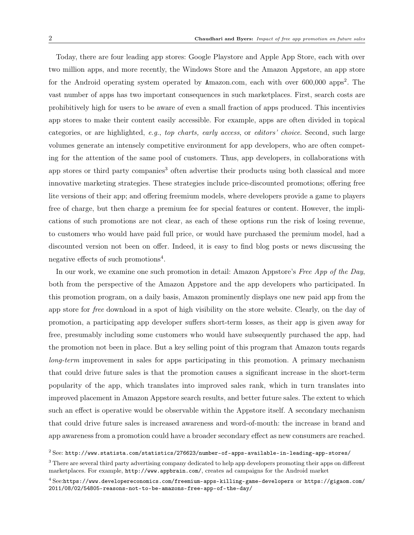Today, there are four leading app stores: Google Playstore and Apple App Store, each with over two million apps, and more recently, the Windows Store and the Amazon Appstore, an app store for the Android operating system operated by Amazon.com, each with over 600,000 apps<sup>2</sup>. The vast number of apps has two important consequences in such marketplaces. First, search costs are prohibitively high for users to be aware of even a small fraction of apps produced. This incentivies app stores to make their content easily accessible. For example, apps are often divided in topical categories, or are highlighted, e.g., top charts, early access, or editors' choice. Second, such large volumes generate an intensely competitive environment for app developers, who are often competing for the attention of the same pool of customers. Thus, app developers, in collaborations with app stores or third party companies<sup>3</sup> often advertise their products using both classical and more innovative marketing strategies. These strategies include price-discounted promotions; offering free lite versions of their app; and offering freemium models, where developers provide a game to players free of charge, but then charge a premium fee for special features or content. However, the implications of such promotions are not clear, as each of these options run the risk of losing revenue, to customers who would have paid full price, or would have purchased the premium model, had a discounted version not been on offer. Indeed, it is easy to find blog posts or news discussing the negative effects of such promotions<sup>4</sup>.

In our work, we examine one such promotion in detail: Amazon Appstore's Free App of the Day, both from the perspective of the Amazon Appstore and the app developers who participated. In this promotion program, on a daily basis, Amazon prominently displays one new paid app from the app store for free download in a spot of high visibility on the store website. Clearly, on the day of promotion, a participating app developer suffers short-term losses, as their app is given away for free, presumably including some customers who would have subsequently purchased the app, had the promotion not been in place. But a key selling point of this program that Amazon touts regards long-term improvement in sales for apps participating in this promotion. A primary mechanism that could drive future sales is that the promotion causes a significant increase in the short-term popularity of the app, which translates into improved sales rank, which in turn translates into improved placement in Amazon Appstore search results, and better future sales. The extent to which such an effect is operative would be observable within the Appstore itself. A secondary mechanism that could drive future sales is increased awareness and word-of-mouth: the increase in brand and app awareness from a promotion could have a broader secondary effect as new consumers are reached.

 $2$  See: http://www.statista.com/statistics/276623/number-of-apps-available-in-leading-app-stores/

<sup>&</sup>lt;sup>3</sup> There are several third party advertising company dedicated to help app developers promoting their apps on different marketplaces. For example, http://www.appbrain.com/, creates ad campaigns for the Android market

 $^4$  See:https://www.developereconomics.com/freemium-apps-killing-game-developers or https://gigaom.com/ 2011/08/02/54805-reasons-not-to-be-amazons-free-app-of-the-day/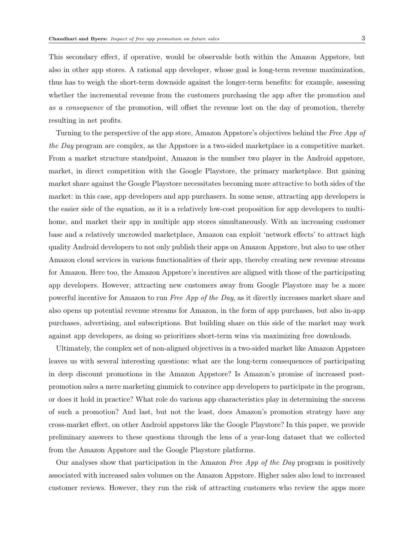This secondary effect, if operative, would be observable both within the Amazon Appstore, but also in other app stores. A rational app developer, whose goal is long-term revenue maximization, thus has to weigh the short-term downside against the longer-term benefits: for example, assessing whether the incremental revenue from the customers purchasing the app after the promotion and as a consequence of the promotion, will offset the revenue lost on the day of promotion, thereby resulting in net profits.

Turning to the perspective of the app store, Amazon Appstore's objectives behind the Free App of the Day program are complex, as the Appstore is a two-sided marketplace in a competitive market. From a market structure standpoint, Amazon is the number two player in the Android appstore, market, in direct competition with the Google Playstore, the primary marketplace. But gaining market share against the Google Playstore necessitates becoming more attractive to both sides of the market: in this case, app developers and app purchasers. In some sense, attracting app developers is the easier side of the equation, as it is a relatively low-cost proposition for app developers to multihome, and market their app in multiple app stores simultaneously. With an increasing customer base and a relatively uncrowded marketplace, Amazon can exploit 'network effects' to attract high quality Android developers to not only publish their apps on Amazon Appstore, but also to use other Amazon cloud services in various functionalities of their app, thereby creating new revenue streams for Amazon. Here too, the Amazon Appstore's incentives are aligned with those of the participating app developers. However, attracting new customers away from Google Playstore may be a more powerful incentive for Amazon to run Free App of the Day, as it directly increases market share and also opens up potential revenue streams for Amazon, in the form of app purchases, but also in-app purchases, advertising, and subscriptions. But building share on this side of the market may work against app developers, as doing so prioritizes short-term wins via maximizing free downloads.

Ultimately, the complex set of non-aligned objectives in a two-sided market like Amazon Appstore leaves us with several interesting questions: what are the long-term consequences of participating in deep discount promotions in the Amazon Appstore? Is Amazon's promise of increased postpromotion sales a mere marketing gimmick to convince app developers to participate in the program, or does it hold in practice? What role do various app characteristics play in determining the success of such a promotion? And last, but not the least, does Amazon's promotion strategy have any cross-market effect, on other Android appstores like the Google Playstore? In this paper, we provide preliminary answers to these questions through the lens of a year-long dataset that we collected from the Amazon Appstore and the Google Playstore platforms.

Our analyses show that participation in the Amazon Free App of the Day program is positively associated with increased sales volumes on the Amazon Appstore. Higher sales also lead to increased customer reviews. However, they run the risk of attracting customers who review the apps more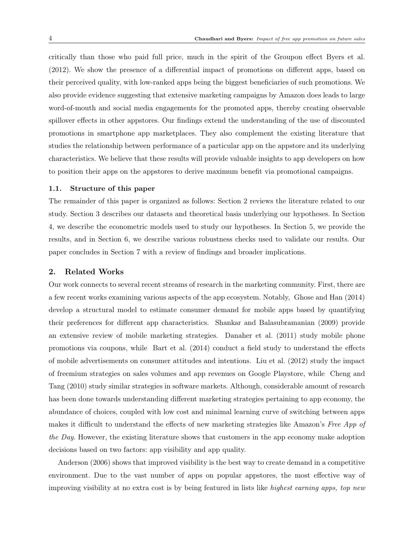critically than those who paid full price, much in the spirit of the Groupon effect Byers et al. (2012). We show the presence of a differential impact of promotions on different apps, based on their perceived quality, with low-ranked apps being the biggest beneficiaries of such promotions. We also provide evidence suggesting that extensive marketing campaigns by Amazon does leads to large word-of-mouth and social media engagements for the promoted apps, thereby creating observable spillover effects in other appstores. Our findings extend the understanding of the use of discounted promotions in smartphone app marketplaces. They also complement the existing literature that studies the relationship between performance of a particular app on the appstore and its underlying characteristics. We believe that these results will provide valuable insights to app developers on how to position their apps on the appstores to derive maximum benefit via promotional campaigns.

#### 1.1. Structure of this paper

The remainder of this paper is organized as follows: Section 2 reviews the literature related to our study. Section 3 describes our datasets and theoretical basis underlying our hypotheses. In Section 4, we describe the econometric models used to study our hypotheses. In Section 5, we provide the results, and in Section 6, we describe various robustness checks used to validate our results. Our paper concludes in Section 7 with a review of findings and broader implications.

## 2. Related Works

Our work connects to several recent streams of research in the marketing community. First, there are a few recent works examining various aspects of the app ecosystem. Notably, Ghose and Han (2014) develop a structural model to estimate consumer demand for mobile apps based by quantifying their preferences for different app characteristics. Shankar and Balasubramanian (2009) provide an extensive review of mobile marketing strategies. Danaher et al. (2011) study mobile phone promotions via coupons, while Bart et al. (2014) conduct a field study to understand the effects of mobile advertisements on consumer attitudes and intentions. Liu et al. (2012) study the impact of freemium strategies on sales volumes and app revenues on Google Playstore, while Cheng and Tang (2010) study similar strategies in software markets. Although, considerable amount of research has been done towards understanding different marketing strategies pertaining to app economy, the abundance of choices, coupled with low cost and minimal learning curve of switching between apps makes it difficult to understand the effects of new marketing strategies like Amazon's Free App of the Day. However, the existing literature shows that customers in the app economy make adoption decisions based on two factors: app visibility and app quality.

Anderson (2006) shows that improved visibility is the best way to create demand in a competitive environment. Due to the vast number of apps on popular appstores, the most effective way of improving visibility at no extra cost is by being featured in lists like highest earning apps, top new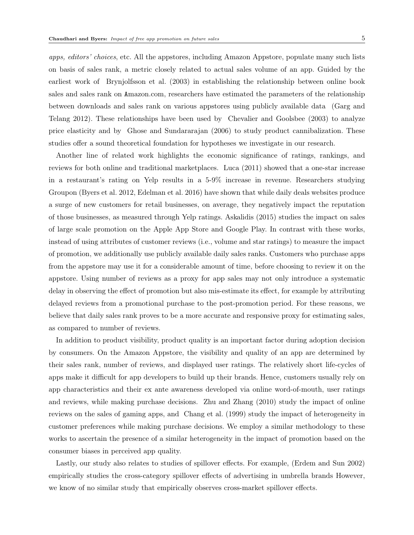apps, editors' choices, etc. All the appstores, including Amazon Appstore, populate many such lists on basis of sales rank, a metric closely related to actual sales volume of an app. Guided by the earliest work of Brynjolfsson et al. (2003) in establishing the relationship between online book sales and sales rank on Amazon.com, researchers have estimated the parameters of the relationship between downloads and sales rank on various appstores using publicly available data (Garg and Telang 2012). These relationships have been used by Chevalier and Goolsbee (2003) to analyze price elasticity and by Ghose and Sundararajan (2006) to study product cannibalization. These studies offer a sound theoretical foundation for hypotheses we investigate in our research.

Another line of related work highlights the economic significance of ratings, rankings, and reviews for both online and traditional marketplaces. Luca (2011) showed that a one-star increase in a restaurant's rating on Yelp results in a 5-9% increase in revenue. Researchers studying Groupon (Byers et al. 2012, Edelman et al. 2016) have shown that while daily deals websites produce a surge of new customers for retail businesses, on average, they negatively impact the reputation of those businesses, as measured through Yelp ratings. Askalidis (2015) studies the impact on sales of large scale promotion on the Apple App Store and Google Play. In contrast with these works, instead of using attributes of customer reviews (i.e., volume and star ratings) to measure the impact of promotion, we additionally use publicly available daily sales ranks. Customers who purchase apps from the appstore may use it for a considerable amount of time, before choosing to review it on the appstore. Using number of reviews as a proxy for app sales may not only introduce a systematic delay in observing the effect of promotion but also mis-estimate its effect, for example by attributing delayed reviews from a promotional purchase to the post-promotion period. For these reasons, we believe that daily sales rank proves to be a more accurate and responsive proxy for estimating sales, as compared to number of reviews.

In addition to product visibility, product quality is an important factor during adoption decision by consumers. On the Amazon Appstore, the visibility and quality of an app are determined by their sales rank, number of reviews, and displayed user ratings. The relatively short life-cycles of apps make it difficult for app developers to build up their brands. Hence, customers usually rely on app characteristics and their ex ante awareness developed via online word-of-mouth, user ratings and reviews, while making purchase decisions. Zhu and Zhang (2010) study the impact of online reviews on the sales of gaming apps, and Chang et al. (1999) study the impact of heterogeneity in customer preferences while making purchase decisions. We employ a similar methodology to these works to ascertain the presence of a similar heterogeneity in the impact of promotion based on the consumer biases in perceived app quality.

Lastly, our study also relates to studies of spillover effects. For example, (Erdem and Sun 2002) empirically studies the cross-category spillover effects of advertising in umbrella brands However, we know of no similar study that empirically observes cross-market spillover effects.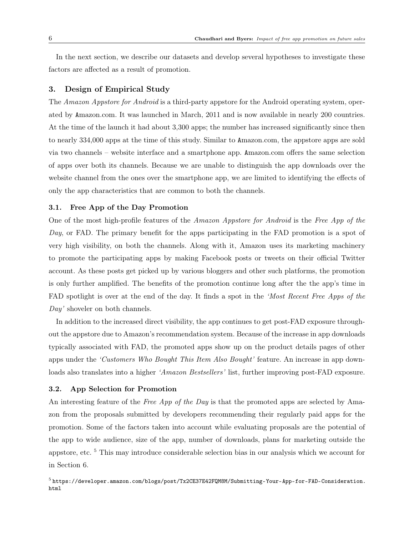In the next section, we describe our datasets and develop several hypotheses to investigate these factors are affected as a result of promotion.

# 3. Design of Empirical Study

The Amazon Appstore for Android is a third-party appstore for the Android operating system, operated by Amazon.com. It was launched in March, 2011 and is now available in nearly 200 countries. At the time of the launch it had about 3,300 apps; the number has increased significantly since then to nearly 334,000 apps at the time of this study. Similar to Amazon.com, the appstore apps are sold via two channels – website interface and a smartphone app. Amazon.com offers the same selection of apps over both its channels. Because we are unable to distinguish the app downloads over the website channel from the ones over the smartphone app, we are limited to identifying the effects of only the app characteristics that are common to both the channels.

# 3.1. Free App of the Day Promotion

One of the most high-profile features of the Amazon Appstore for Android is the Free App of the Day, or FAD. The primary benefit for the apps participating in the FAD promotion is a spot of very high visibility, on both the channels. Along with it, Amazon uses its marketing machinery to promote the participating apps by making Facebook posts or tweets on their official Twitter account. As these posts get picked up by various bloggers and other such platforms, the promotion is only further amplified. The benefits of the promotion continue long after the the app's time in FAD spotlight is over at the end of the day. It finds a spot in the 'Most Recent Free Apps of the Day' shoveler on both channels.

In addition to the increased direct visibility, the app continues to get post-FAD exposure throughout the appstore due to Amazon's recommendation system. Because of the increase in app downloads typically associated with FAD, the promoted apps show up on the product details pages of other apps under the 'Customers Who Bought This Item Also Bought' feature. An increase in app downloads also translates into a higher 'Amazon Bestsellers' list, further improving post-FAD exposure.

## 3.2. App Selection for Promotion

An interesting feature of the Free App of the Day is that the promoted apps are selected by Amazon from the proposals submitted by developers recommending their regularly paid apps for the promotion. Some of the factors taken into account while evaluating proposals are the potential of the app to wide audience, size of the app, number of downloads, plans for marketing outside the appstore, etc. <sup>5</sup> This may introduce considerable selection bias in our analysis which we account for in Section 6.

 $^5$ https://developer.amazon.com/blogs/post/Tx2CE37E42FQM8M/Submitting-Your-App-for-FAD-Consideration. html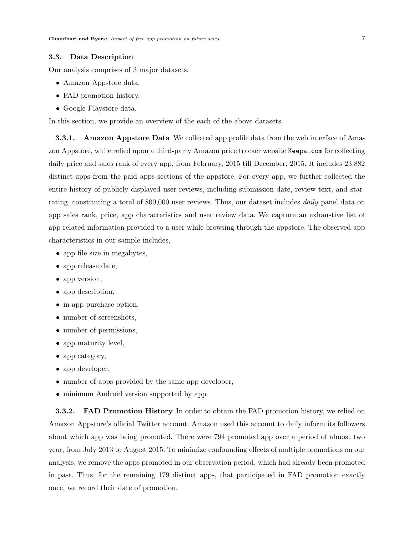#### 3.3. Data Description

Our analysis comprises of 3 major datasets.

- Amazon Appstore data.
- FAD promotion history.
- Google Playstore data.

In this section, we provide an overview of the each of the above datasets.

3.3.1. Amazon Appstore Data We collected app profile data from the web interface of Amazon Appstore, while relied upon a third-party Amazon price tracker website Keepa.com for collecting daily price and sales rank of every app, from February, 2015 till December, 2015. It includes 23,882 distinct apps from the paid apps sections of the appstore. For every app, we further collected the entire history of publicly displayed user reviews, including submission date, review text, and starrating, constituting a total of 800,000 user reviews. Thus, our dataset includes daily panel data on app sales rank, price, app characteristics and user review data. We capture an exhaustive list of app-related information provided to a user while browsing through the appstore. The observed app characteristics in our sample includes,

- app file size in megabytes,
- app release date,
- app version,
- app description,
- in-app purchase option,
- number of screenshots,
- number of permissions,
- app maturity level,
- app category,
- app developer,
- number of apps provided by the same app developer,
- minimum Android version supported by app.

**3.3.2.** FAD Promotion History In order to obtain the FAD promotion history, we relied on Amazon Appstore's official Twitter account. Amazon used this account to daily inform its followers about which app was being promoted. There were 794 promoted app over a period of almost two year, from July 2013 to August 2015. To minimize confounding effects of multiple promotions on our analysis, we remove the apps promoted in our observation period, which had already been promoted in past. Thus, for the remaining 179 distinct apps, that participated in FAD promotion exactly once, we record their date of promotion.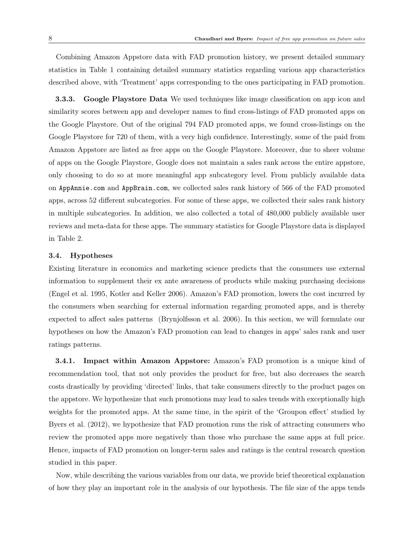Combining Amazon Appstore data with FAD promotion history, we present detailed summary statistics in Table 1 containing detailed summary statistics regarding various app characteristics described above, with 'Treatment' apps corresponding to the ones participating in FAD promotion.

**3.3.3.** Google Playstore Data We used techniques like image classification on app icon and similarity scores between app and developer names to find cross-listings of FAD promoted apps on the Google Playstore. Out of the original 794 FAD promoted apps, we found cross-listings on the Google Playstore for 720 of them, with a very high confidence. Interestingly, some of the paid from Amazon Appstore are listed as free apps on the Google Playstore. Moreover, due to sheer volume of apps on the Google Playstore, Google does not maintain a sales rank across the entire appstore, only choosing to do so at more meaningful app subcategory level. From publicly available data on AppAnnie.com and AppBrain.com, we collected sales rank history of 566 of the FAD promoted apps, across 52 different subcategories. For some of these apps, we collected their sales rank history in multiple subcategories. In addition, we also collected a total of 480,000 publicly available user reviews and meta-data for these apps. The summary statistics for Google Playstore data is displayed in Table 2.

# 3.4. Hypotheses

Existing literature in economics and marketing science predicts that the consumers use external information to supplement their ex ante awareness of products while making purchasing decisions (Engel et al. 1995, Kotler and Keller 2006). Amazon's FAD promotion, lowers the cost incurred by the consumers when searching for external information regarding promoted apps, and is thereby expected to affect sales patterns (Brynjolfsson et al. 2006). In this section, we will formulate our hypotheses on how the Amazon's FAD promotion can lead to changes in apps' sales rank and user ratings patterns.

3.4.1. Impact within Amazon Appstore: Amazon's FAD promotion is a unique kind of recommendation tool, that not only provides the product for free, but also decreases the search costs drastically by providing 'directed' links, that take consumers directly to the product pages on the appstore. We hypothesize that such promotions may lead to sales trends with exceptionally high weights for the promoted apps. At the same time, in the spirit of the 'Groupon effect' studied by Byers et al. (2012), we hypothesize that FAD promotion runs the risk of attracting consumers who review the promoted apps more negatively than those who purchase the same apps at full price. Hence, impacts of FAD promotion on longer-term sales and ratings is the central research question studied in this paper.

Now, while describing the various variables from our data, we provide brief theoretical explanation of how they play an important role in the analysis of our hypothesis. The file size of the apps tends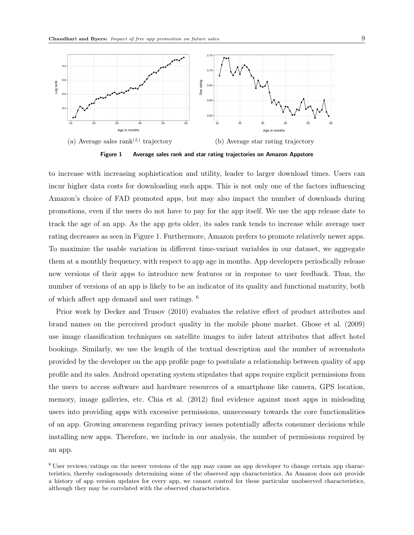

Figure 1 Average sales rank and star rating trajectories on Amazon Appstore

to increase with increasing sophistication and utility, leader to larger download times. Users can incur higher data costs for downloading such apps. This is not only one of the factors influencing Amazon's choice of FAD promoted apps, but may also impact the number of downloads during promotions, even if the users do not have to pay for the app itself. We use the app release date to track the age of an app. As the app gets older, its sales rank tends to increase while average user rating decreases as seen in Figure 1. Furthermore, Amazon prefers to promote relatively newer apps. To maximize the usable variation in different time-variant variables in our dataset, we aggregate them at a monthly frequency, with respect to app age in months. App developers periodically release new versions of their apps to introduce new features or in response to user feedback. Thus, the number of versions of an app is likely to be an indicator of its quality and functional maturity, both of which affect app demand and user ratings. <sup>6</sup>

Prior work by Decker and Trusov (2010) evaluates the relative effect of product attributes and brand names on the perceived product quality in the mobile phone market. Ghose et al. (2009) use image classification techniques on satellite images to infer latent attributes that affect hotel bookings. Similarly, we use the length of the textual description and the number of screenshots provided by the developer on the app profile page to postulate a relationship between quality of app profile and its sales. Android operating system stipulates that apps require explicit permissions from the users to access software and hardware resources of a smartphone like camera, GPS location, memory, image galleries, etc. Chia et al. (2012) find evidence against most apps in misleading users into providing apps with excessive permissions, unnecessary towards the core functionalities of an app. Growing awareness regarding privacy issues potentially affects consumer decisions while installing new apps. Therefore, we include in our analysis, the number of permissions required by an app.

<sup>6</sup> User reviews/ratings on the newer versions of the app may cause an app developer to change certain app characteristics, thereby endogenously determining some of the observed app characteristics. As Amazon does not provide a history of app version updates for every app, we cannot control for these particular unobserved characteristics, although they may be correlated with the observed characteristics.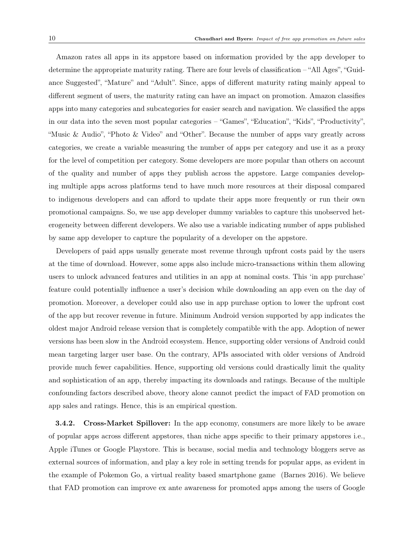Amazon rates all apps in its appstore based on information provided by the app developer to determine the appropriate maturity rating. There are four levels of classification – "All Ages", "Guidance Suggested", "Mature" and "Adult". Since, apps of different maturity rating mainly appeal to different segment of users, the maturity rating can have an impact on promotion. Amazon classifies apps into many categories and subcategories for easier search and navigation. We classified the apps in our data into the seven most popular categories – "Games", "Education", "Kids", "Productivity", "Music & Audio", "Photo & Video" and "Other". Because the number of apps vary greatly across categories, we create a variable measuring the number of apps per category and use it as a proxy for the level of competition per category. Some developers are more popular than others on account of the quality and number of apps they publish across the appstore. Large companies developing multiple apps across platforms tend to have much more resources at their disposal compared to indigenous developers and can afford to update their apps more frequently or run their own promotional campaigns. So, we use app developer dummy variables to capture this unobserved heterogeneity between different developers. We also use a variable indicating number of apps published by same app developer to capture the popularity of a developer on the appstore.

Developers of paid apps usually generate most revenue through upfront costs paid by the users at the time of download. However, some apps also include micro-transactions within them allowing users to unlock advanced features and utilities in an app at nominal costs. This 'in app purchase' feature could potentially influence a user's decision while downloading an app even on the day of promotion. Moreover, a developer could also use in app purchase option to lower the upfront cost of the app but recover revenue in future. Minimum Android version supported by app indicates the oldest major Android release version that is completely compatible with the app. Adoption of newer versions has been slow in the Android ecosystem. Hence, supporting older versions of Android could mean targeting larger user base. On the contrary, APIs associated with older versions of Android provide much fewer capabilities. Hence, supporting old versions could drastically limit the quality and sophistication of an app, thereby impacting its downloads and ratings. Because of the multiple confounding factors described above, theory alone cannot predict the impact of FAD promotion on app sales and ratings. Hence, this is an empirical question.

**3.4.2.** Cross-Market Spillover: In the app economy, consumers are more likely to be aware of popular apps across different appstores, than niche apps specific to their primary appstores i.e., Apple iTunes or Google Playstore. This is because, social media and technology bloggers serve as external sources of information, and play a key role in setting trends for popular apps, as evident in the example of Pokemon Go, a virtual reality based smartphone game (Barnes 2016). We believe that FAD promotion can improve ex ante awareness for promoted apps among the users of Google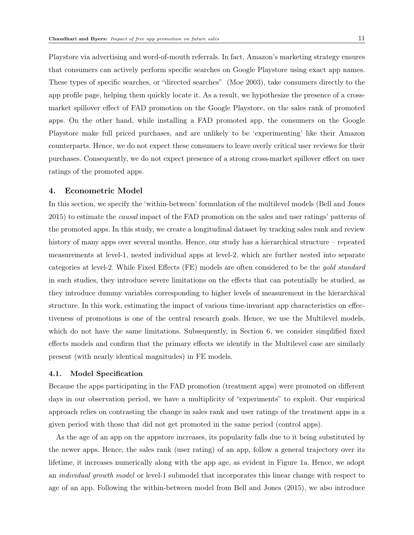Playstore via advertising and word-of-mouth referrals. In fact, Amazon's marketing strategy ensures that consumers can actively perform specific searches on Google Playstore using exact app names. These types of specific searches, or "directed searches" (Moe 2003), take consumers directly to the app profile page, helping them quickly locate it. As a result, we hypothesize the presence of a crossmarket spillover effect of FAD promotion on the Google Playstore, on the sales rank of promoted apps. On the other hand, while installing a FAD promoted app, the consumers on the Google Playstore make full priced purchases, and are unlikely to be 'experimenting' like their Amazon counterparts. Hence, we do not expect these consumers to leave overly critical user reviews for their purchases. Consequently, we do not expect presence of a strong cross-market spillover effect on user ratings of the promoted apps.

## 4. Econometric Model

In this section, we specify the 'within-between' formulation of the multilevel models (Bell and Jones 2015) to estimate the causal impact of the FAD promotion on the sales and user ratings' patterns of the promoted apps. In this study, we create a longitudinal dataset by tracking sales rank and review history of many apps over several months. Hence, our study has a hierarchical structure – repeated measurements at level-1, nested individual apps at level-2, which are further nested into separate categories at level-2. While Fixed Effects (FE) models are often considered to be the gold standard in such studies, they introduce severe limitations on the effects that can potentially be studied, as they introduce dummy variables corresponding to higher levels of measurement in the hierarchical structure. In this work, estimating the impact of various time-invariant app characteristics on effectiveness of promotions is one of the central research goals. Hence, we use the Multilevel models, which do not have the same limitations. Subsequently, in Section 6, we consider simplified fixed effects models and confirm that the primary effects we identify in the Multilevel case are similarly present (with nearly identical magnitudes) in FE models.

#### 4.1. Model Specification

Because the apps participating in the FAD promotion (treatment apps) were promoted on different days in our observation period, we have a multiplicity of "experiments" to exploit. Our empirical approach relies on contrasting the change in sales rank and user ratings of the treatment apps in a given period with those that did not get promoted in the same period (control apps).

As the age of an app on the appstore increases, its popularity falls due to it being substituted by the newer apps. Hence, the sales rank (user rating) of an app, follow a general trajectory over its lifetime, it increases numerically along with the app age, as evident in Figure 1a. Hence, we adopt an individual growth model or level-1 submodel that incorporates this linear change with respect to age of an app. Following the within-between model from Bell and Jones (2015), we also introduce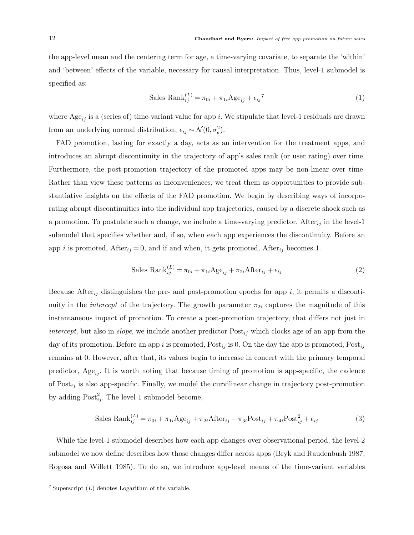the app-level mean and the centering term for age, a time-varying covariate, to separate the 'within' and 'between' effects of the variable, necessary for causal interpretation. Thus, level-1 submodel is specified as:

$$
\text{Sales Rank}_{ij}^{(L)} = \pi_{0i} + \pi_{1i} \text{Age}_{ij} + \epsilon_{ij}^{\ \ 7} \tag{1}
$$

where Age<sub>ij</sub> is a (series of) time-variant value for app i. We stipulate that level-1 residuals are drawn from an underlying normal distribution,  $\epsilon_{ij} \sim \mathcal{N}(0, \sigma_{\epsilon}^2)$ .

FAD promotion, lasting for exactly a day, acts as an intervention for the treatment apps, and introduces an abrupt discontinuity in the trajectory of app's sales rank (or user rating) over time. Furthermore, the post-promotion trajectory of the promoted apps may be non-linear over time. Rather than view these patterns as inconveniences, we treat them as opportunities to provide substantiative insights on the effects of the FAD promotion. We begin by describing ways of incorporating abrupt discontinuities into the individual app trajectories, caused by a discrete shock such as a promotion. To postulate such a change, we include a time-varying predictor,  $After_{ij}$  in the level-1 submodel that specifies whether and, if so, when each app experiences the discontinuity. Before an app i is promoted,  $After_{ij} = 0$ , and if and when, it gets promoted,  $After_{ij}$  becomes 1.

$$
\text{Sales Rank}_{ij}^{(L)} = \pi_{0i} + \pi_{1i} \text{Age}_{ij} + \pi_{2i} \text{After}_{ij} + \epsilon_{ij} \tag{2}
$$

Because After<sub>ij</sub> distinguishes the pre- and post-promotion epochs for app i, it permits a discontinuity in the *intercept* of the trajectory. The growth parameter  $\pi_{2i}$  captures the magnitude of this instantaneous impact of promotion. To create a post-promotion trajectory, that differs not just in *intercept*, but also in *slope*, we include another predictor  $Post_{ij}$  which clocks age of an app from the day of its promotion. Before an app i is promoted,  $Post_{ij}$  is 0. On the day the app is promoted,  $Post_{ij}$ remains at 0. However, after that, its values begin to increase in concert with the primary temporal predictor,  $Age_{ij}$ . It is worth noting that because timing of promotion is app-specific, the cadence of  $Post_{ij}$  is also app-specific. Finally, we model the curvilinear change in trajectory post-promotion by adding  $Post_{ij}^2$ . The level-1 submodel become,

$$
\text{Sales Rank}_{ij}^{(L)} = \pi_{0i} + \pi_{1i} \text{Age}_{ij} + \pi_{2i} \text{After}_{ij} + \pi_{3i} \text{Post}_{ij} + \pi_{4i} \text{Post}_{ij}^2 + \epsilon_{ij} \tag{3}
$$

While the level-1 submodel describes how each app changes over observational period, the level-2 submodel we now define describes how those changes differ across apps (Bryk and Raudenbush 1987, Rogosa and Willett 1985). To do so, we introduce app-level means of the time-variant variables

<sup>&</sup>lt;sup>7</sup> Superscript  $(L)$  denotes Logarithm of the variable.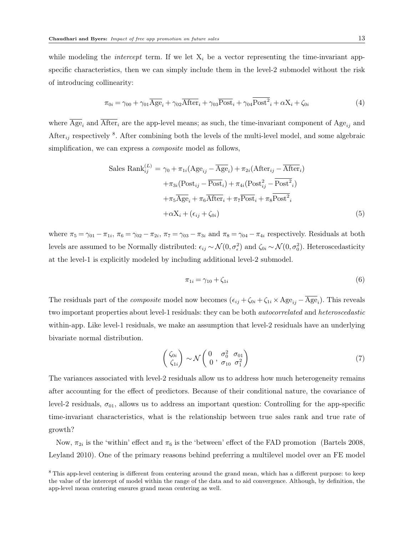while modeling the *intercept* term. If we let  $X_i$  be a vector representing the time-invariant appspecific characteristics, then we can simply include them in the level-2 submodel without the risk of introducing collinearity:

$$
\pi_{0i} = \gamma_{00} + \gamma_{01} \overline{\text{Age}}_i + \gamma_{02} \overline{\text{After}}_i + \gamma_{03} \overline{\text{Post}}_i + \gamma_{04} \overline{\text{Post}}_i^2 + \alpha X_i + \zeta_{0i}
$$
\n
$$
\tag{4}
$$

where  $\overline{Age}_i$  and  $\overline{After}_i$  are the app-level means; as such, the time-invariant component of  $Age_{ij}$  and After<sub>ij</sub> respectively <sup>8</sup>. After combining both the levels of the multi-level model, and some algebraic simplification, we can express a *composite* model as follows,

Sales Rank<sub>ij</sub><sup>(L)</sup> = 
$$
\gamma_0 + \pi_{1i} (\text{Age}_{ij} - \overline{\text{Age}}_i) + \pi_{2i} (\text{After}_{ij} - \overline{\text{After}}_i)
$$
  
  $+ \pi_{3i} (\text{Post}_{ij} - \overline{\text{Post}}_i) + \pi_{4i} (\text{Post}_{ij}^2 - \overline{\text{Post}}_i^2)$   
  $+ \pi_5 \overline{\text{Age}}_i + \pi_6 \overline{\text{After}}_i + \pi_7 \overline{\text{Post}}_i + \pi_8 \overline{\text{Post}}_i^2$   
  $+ \alpha X_i + (\epsilon_{ij} + \zeta_{0i})$  (5)

where  $\pi_5 = \gamma_{01} - \pi_{1i}$ ,  $\pi_6 = \gamma_{02} - \pi_{2i}$ ,  $\pi_7 = \gamma_{03} - \pi_{3i}$  and  $\pi_8 = \gamma_{04} - \pi_{4i}$  respectively. Residuals at both levels are assumed to be Normally distributed:  $\epsilon_{ij} \sim \mathcal{N}(0, \sigma_{\epsilon}^2)$  and  $\zeta_{0i} \sim \mathcal{N}(0, \sigma_0^2)$ . Heteroscedasticity at the level-1 is explicitly modeled by including additional level-2 submodel.

$$
\pi_{1i} = \gamma_{10} + \zeta_{1i} \tag{6}
$$

The residuals part of the *composite* model now becomes  $(\epsilon_{ij} + \zeta_{0i} + \zeta_{1i} \times \text{Age}_{ij} - \text{Age}_i)$ . This reveals two important properties about level-1 residuals: they can be both autocorrelated and heteroscedastic within-app. Like level-1 residuals, we make an assumption that level-2 residuals have an underlying bivariate normal distribution.

$$
\begin{pmatrix} \zeta_{0i} \\ \zeta_{1i} \end{pmatrix} \sim \mathcal{N} \begin{pmatrix} 0 & \sigma_0^2 & \sigma_{01} \\ 0 & \sigma_{10} & \sigma_1^2 \end{pmatrix}
$$
\n(7)

The variances associated with level-2 residuals allow us to address how much heterogeneity remains after accounting for the effect of predictors. Because of their conditional nature, the covariance of level-2 residuals,  $\sigma_{01}$ , allows us to address an important question: Controlling for the app-specific time-invariant characteristics, what is the relationship between true sales rank and true rate of growth?

Now,  $\pi_{2i}$  is the 'within' effect and  $\pi_6$  is the 'between' effect of the FAD promotion (Bartels 2008, Leyland 2010). One of the primary reasons behind preferring a multilevel model over an FE model

<sup>&</sup>lt;sup>8</sup> This app-level centering is different from centering around the grand mean, which has a different purpose: to keep the value of the intercept of model within the range of the data and to aid convergence. Although, by definition, the app-level mean centering ensures grand mean centering as well.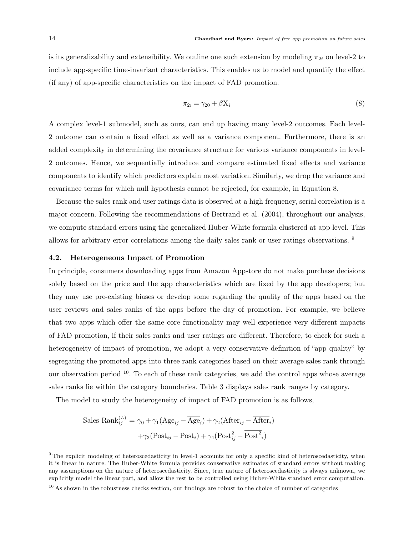is its generalizability and extensibility. We outline one such extension by modeling  $\pi_{2i}$  on level-2 to include app-specific time-invariant characteristics. This enables us to model and quantify the effect (if any) of app-specific characteristics on the impact of FAD promotion.

$$
\pi_{2i} = \gamma_{20} + \beta X_i \tag{8}
$$

A complex level-1 submodel, such as ours, can end up having many level-2 outcomes. Each level-2 outcome can contain a fixed effect as well as a variance component. Furthermore, there is an added complexity in determining the covariance structure for various variance components in level-2 outcomes. Hence, we sequentially introduce and compare estimated fixed effects and variance components to identify which predictors explain most variation. Similarly, we drop the variance and covariance terms for which null hypothesis cannot be rejected, for example, in Equation 8.

Because the sales rank and user ratings data is observed at a high frequency, serial correlation is a major concern. Following the recommendations of Bertrand et al. (2004), throughout our analysis, we compute standard errors using the generalized Huber-White formula clustered at app level. This allows for arbitrary error correlations among the daily sales rank or user ratings observations. <sup>9</sup>

#### 4.2. Heterogeneous Impact of Promotion

In principle, consumers downloading apps from Amazon Appstore do not make purchase decisions solely based on the price and the app characteristics which are fixed by the app developers; but they may use pre-existing biases or develop some regarding the quality of the apps based on the user reviews and sales ranks of the apps before the day of promotion. For example, we believe that two apps which offer the same core functionality may well experience very different impacts of FAD promotion, if their sales ranks and user ratings are different. Therefore, to check for such a heterogeneity of impact of promotion, we adopt a very conservative definition of "app quality" by segregating the promoted apps into three rank categories based on their average sales rank through our observation period  $10$ . To each of these rank categories, we add the control apps whose average sales ranks lie within the category boundaries. Table 3 displays sales rank ranges by category.

The model to study the heterogeneity of impact of FAD promotion is as follows,

$$
\text{Sales Rank}_{ij}^{(L)} = \gamma_0 + \gamma_1 (\text{Age}_{ij} - \overline{\text{Age}}_i) + \gamma_2 (\text{After}_{ij} - \overline{\text{After}}_i)
$$

$$
+ \gamma_3 (\text{Post}_{ij} - \overline{\text{Post}}_i) + \gamma_4 (\text{Post}_{ij}^2 - \overline{\text{Post}}_i^2)
$$

<sup>&</sup>lt;sup>9</sup> The explicit modeling of heteroscedasticity in level-1 accounts for only a specific kind of heteroscedasticity, when it is linear in nature. The Huber-White formula provides conservative estimates of standard errors without making any assumptions on the nature of heteroscedasticity. Since, true nature of heteroscedasticity is always unknown, we explicitly model the linear part, and allow the rest to be controlled using Huber-White standard error computation.

<sup>&</sup>lt;sup>10</sup> As shown in the robustness checks section, our findings are robust to the choice of number of categories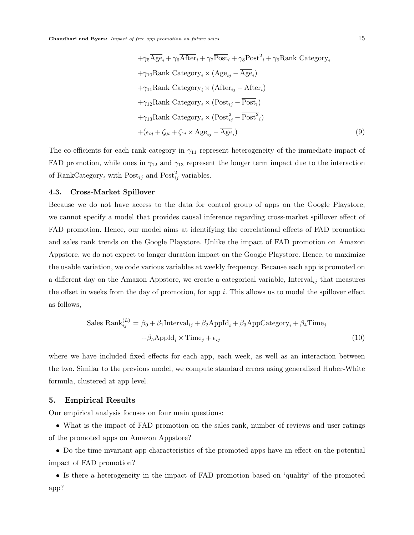$$
+\gamma_5 \overline{\text{Age}}_i + \gamma_6 \overline{\text{After}}_i + \gamma_7 \overline{\text{Post}}_i + \gamma_8 \overline{\text{Post}}^2_i + \gamma_9 \text{Rank Category}_i
$$
  
+
$$
\gamma_{10} \text{Rank Category}_i \times (\text{Age}_{ij} - \overline{\text{Age}}_i)
$$
  
+
$$
\gamma_{11} \text{Rank Category}_i \times (\text{After}_{ij} - \overline{\text{After}}_i)
$$
  
+
$$
\gamma_{12} \text{Rank Category}_i \times (\text{Post}_{ij} - \overline{\text{Post}}_i)
$$
  
+
$$
\gamma_{13} \text{Rank Category}_i \times (\text{Post}_{ij}^2 - \overline{\text{Post}}^2_i)
$$
  
+
$$
(\epsilon_{ij} + \zeta_{0i} + \zeta_{1i} \times \text{Age}_{ij} - \overline{\text{Age}}_i)
$$
 (9)

The co-efficients for each rank category in  $\gamma_{11}$  represent heterogeneity of the immediate impact of FAD promotion, while ones in  $\gamma_{12}$  and  $\gamma_{13}$  represent the longer term impact due to the interaction of RankCategory<sub>i</sub> with Post<sub>ij</sub> and Post<sup>2</sup><sub>ij</sub> variables.

#### 4.3. Cross-Market Spillover

Because we do not have access to the data for control group of apps on the Google Playstore, we cannot specify a model that provides causal inference regarding cross-market spillover effect of FAD promotion. Hence, our model aims at identifying the correlational effects of FAD promotion and sales rank trends on the Google Playstore. Unlike the impact of FAD promotion on Amazon Appstore, we do not expect to longer duration impact on the Google Playstore. Hence, to maximize the usable variation, we code various variables at weekly frequency. Because each app is promoted on a different day on the Amazon Appstore, we create a categorical variable, Interval<sub>ij</sub> that measures the offset in weeks from the day of promotion, for app i. This allows us to model the spillover effect as follows,

Sales Rank<sub>ij</sub><sup>(L)</sup> = 
$$
\beta_0 + \beta_1
$$
Interval<sub>ij</sub> +  $\beta_2$ AppId<sub>i</sub> +  $\beta_3$ AppCategory<sub>i</sub> +  $\beta_4$ Time<sub>j</sub>  
+ $\beta_5$ AppId<sub>i</sub> × Time<sub>j</sub> +  $\epsilon_{ij}$  (10)

where we have included fixed effects for each app, each week, as well as an interaction between the two. Similar to the previous model, we compute standard errors using generalized Huber-White formula, clustered at app level.

## 5. Empirical Results

Our empirical analysis focuses on four main questions:

• What is the impact of FAD promotion on the sales rank, number of reviews and user ratings of the promoted apps on Amazon Appstore?

• Do the time-invariant app characteristics of the promoted apps have an effect on the potential impact of FAD promotion?

• Is there a heterogeneity in the impact of FAD promotion based on 'quality' of the promoted app?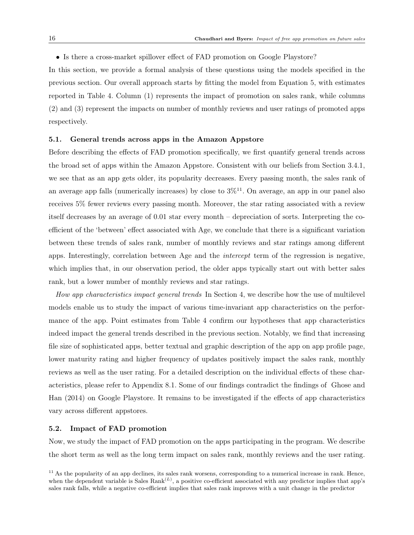• Is there a cross-market spillover effect of FAD promotion on Google Playstore?

In this section, we provide a formal analysis of these questions using the models specified in the previous section. Our overall approach starts by fitting the model from Equation 5, with estimates reported in Table 4. Column (1) represents the impact of promotion on sales rank, while columns (2) and (3) represent the impacts on number of monthly reviews and user ratings of promoted apps respectively.

#### 5.1. General trends across apps in the Amazon Appstore

Before describing the effects of FAD promotion specifically, we first quantify general trends across the broad set of apps within the Amazon Appstore. Consistent with our beliefs from Section 3.4.1, we see that as an app gets older, its popularity decreases. Every passing month, the sales rank of an average app falls (numerically increases) by close to  $3\%^{11}$ . On average, an app in our panel also receives 5% fewer reviews every passing month. Moreover, the star rating associated with a review itself decreases by an average of 0.01 star every month – depreciation of sorts. Interpreting the coefficient of the 'between' effect associated with Age, we conclude that there is a significant variation between these trends of sales rank, number of monthly reviews and star ratings among different apps. Interestingly, correlation between Age and the intercept term of the regression is negative, which implies that, in our observation period, the older apps typically start out with better sales rank, but a lower number of monthly reviews and star ratings.

How app characteristics impact general trends In Section 4, we describe how the use of multilevel models enable us to study the impact of various time-invariant app characteristics on the performance of the app. Point estimates from Table 4 confirm our hypotheses that app characteristics indeed impact the general trends described in the previous section. Notably, we find that increasing file size of sophisticated apps, better textual and graphic description of the app on app profile page, lower maturity rating and higher frequency of updates positively impact the sales rank, monthly reviews as well as the user rating. For a detailed description on the individual effects of these characteristics, please refer to Appendix 8.1. Some of our findings contradict the findings of Ghose and Han (2014) on Google Playstore. It remains to be investigated if the effects of app characteristics vary across different appstores.

# 5.2. Impact of FAD promotion

Now, we study the impact of FAD promotion on the apps participating in the program. We describe the short term as well as the long term impact on sales rank, monthly reviews and the user rating.

 $11$  As the popularity of an app declines, its sales rank worsens, corresponding to a numerical increase in rank. Hence, when the dependent variable is Sales  $\text{Rank}^{(L)}$ , a positive co-efficient associated with any predictor implies that app's sales rank falls, while a negative co-efficient implies that sales rank improves with a unit change in the predictor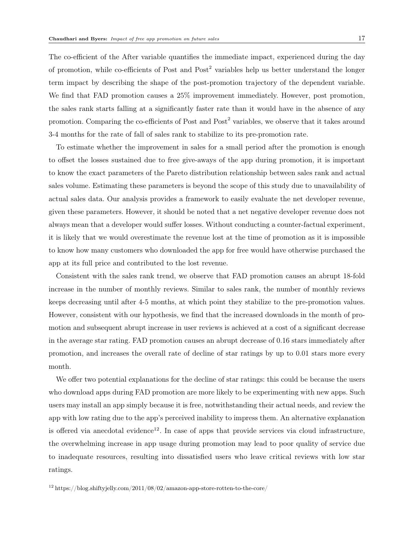The co-efficient of the After variable quantifies the immediate impact, experienced during the day of promotion, while co-efficients of Post and  $Post<sup>2</sup>$  variables help us better understand the longer term impact by describing the shape of the post-promotion trajectory of the dependent variable. We find that FAD promotion causes a  $25\%$  improvement immediately. However, post promotion, the sales rank starts falling at a significantly faster rate than it would have in the absence of any promotion. Comparing the co-efficients of Post and  $Post<sup>2</sup>$  variables, we observe that it takes around 3-4 months for the rate of fall of sales rank to stabilize to its pre-promotion rate.

To estimate whether the improvement in sales for a small period after the promotion is enough to offset the losses sustained due to free give-aways of the app during promotion, it is important to know the exact parameters of the Pareto distribution relationship between sales rank and actual sales volume. Estimating these parameters is beyond the scope of this study due to unavailability of actual sales data. Our analysis provides a framework to easily evaluate the net developer revenue, given these parameters. However, it should be noted that a net negative developer revenue does not always mean that a developer would suffer losses. Without conducting a counter-factual experiment, it is likely that we would overestimate the revenue lost at the time of promotion as it is impossible to know how many customers who downloaded the app for free would have otherwise purchased the app at its full price and contributed to the lost revenue.

Consistent with the sales rank trend, we observe that FAD promotion causes an abrupt 18-fold increase in the number of monthly reviews. Similar to sales rank, the number of monthly reviews keeps decreasing until after 4-5 months, at which point they stabilize to the pre-promotion values. However, consistent with our hypothesis, we find that the increased downloads in the month of promotion and subsequent abrupt increase in user reviews is achieved at a cost of a significant decrease in the average star rating. FAD promotion causes an abrupt decrease of 0.16 stars immediately after promotion, and increases the overall rate of decline of star ratings by up to 0.01 stars more every month.

We offer two potential explanations for the decline of star ratings: this could be because the users who download apps during FAD promotion are more likely to be experimenting with new apps. Such users may install an app simply because it is free, notwithstanding their actual needs, and review the app with low rating due to the app's perceived inability to impress them. An alternative explanation is offered via anecdotal evidence<sup>12</sup>. In case of apps that provide services via cloud infrastructure, the overwhelming increase in app usage during promotion may lead to poor quality of service due to inadequate resources, resulting into dissatisfied users who leave critical reviews with low star ratings.

<sup>12</sup> https://blog.shiftyjelly.com/2011/08/02/amazon-app-store-rotten-to-the-core/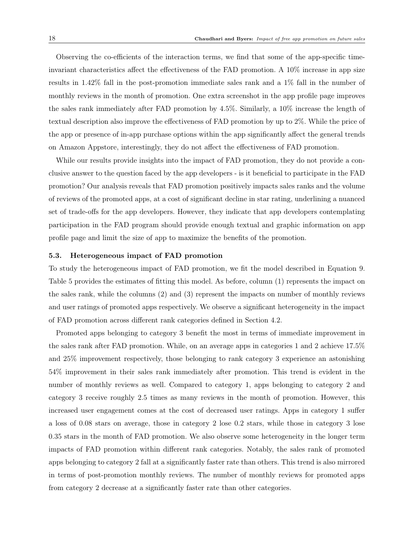Observing the co-efficients of the interaction terms, we find that some of the app-specific timeinvariant characteristics affect the effectiveness of the FAD promotion. A 10% increase in app size results in 1.42% fall in the post-promotion immediate sales rank and a 1% fall in the number of monthly reviews in the month of promotion. One extra screenshot in the app profile page improves the sales rank immediately after FAD promotion by 4.5%. Similarly, a 10% increase the length of textual description also improve the effectiveness of FAD promotion by up to 2%. While the price of the app or presence of in-app purchase options within the app significantly affect the general trends on Amazon Appstore, interestingly, they do not affect the effectiveness of FAD promotion.

While our results provide insights into the impact of FAD promotion, they do not provide a conclusive answer to the question faced by the app developers - is it beneficial to participate in the FAD promotion? Our analysis reveals that FAD promotion positively impacts sales ranks and the volume of reviews of the promoted apps, at a cost of significant decline in star rating, underlining a nuanced set of trade-offs for the app developers. However, they indicate that app developers contemplating participation in the FAD program should provide enough textual and graphic information on app profile page and limit the size of app to maximize the benefits of the promotion.

## 5.3. Heterogeneous impact of FAD promotion

To study the heterogeneous impact of FAD promotion, we fit the model described in Equation 9. Table 5 provides the estimates of fitting this model. As before, column (1) represents the impact on the sales rank, while the columns (2) and (3) represent the impacts on number of monthly reviews and user ratings of promoted apps respectively. We observe a significant heterogeneity in the impact of FAD promotion across different rank categories defined in Section 4.2.

Promoted apps belonging to category 3 benefit the most in terms of immediate improvement in the sales rank after FAD promotion. While, on an average apps in categories 1 and 2 achieve 17.5% and 25% improvement respectively, those belonging to rank category 3 experience an astonishing 54% improvement in their sales rank immediately after promotion. This trend is evident in the number of monthly reviews as well. Compared to category 1, apps belonging to category 2 and category 3 receive roughly 2.5 times as many reviews in the month of promotion. However, this increased user engagement comes at the cost of decreased user ratings. Apps in category 1 suffer a loss of 0.08 stars on average, those in category 2 lose 0.2 stars, while those in category 3 lose 0.35 stars in the month of FAD promotion. We also observe some heterogeneity in the longer term impacts of FAD promotion within different rank categories. Notably, the sales rank of promoted apps belonging to category 2 fall at a significantly faster rate than others. This trend is also mirrored in terms of post-promotion monthly reviews. The number of monthly reviews for promoted apps from category 2 decrease at a significantly faster rate than other categories.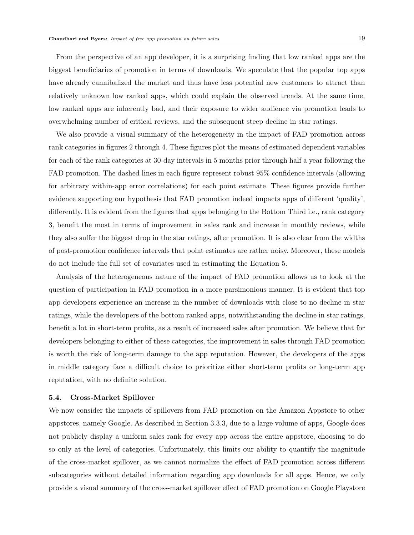From the perspective of an app developer, it is a surprising finding that low ranked apps are the biggest beneficiaries of promotion in terms of downloads. We speculate that the popular top apps have already cannibalized the market and thus have less potential new customers to attract than relatively unknown low ranked apps, which could explain the observed trends. At the same time, low ranked apps are inherently bad, and their exposure to wider audience via promotion leads to overwhelming number of critical reviews, and the subsequent steep decline in star ratings.

We also provide a visual summary of the heterogeneity in the impact of FAD promotion across rank categories in figures 2 through 4. These figures plot the means of estimated dependent variables for each of the rank categories at 30-day intervals in 5 months prior through half a year following the FAD promotion. The dashed lines in each figure represent robust 95% confidence intervals (allowing for arbitrary within-app error correlations) for each point estimate. These figures provide further evidence supporting our hypothesis that FAD promotion indeed impacts apps of different 'quality', differently. It is evident from the figures that apps belonging to the Bottom Third i.e., rank category 3, benefit the most in terms of improvement in sales rank and increase in monthly reviews, while they also suffer the biggest drop in the star ratings, after promotion. It is also clear from the widths of post-promotion confidence intervals that point estimates are rather noisy. Moreover, these models do not include the full set of covariates used in estimating the Equation 5.

Analysis of the heterogeneous nature of the impact of FAD promotion allows us to look at the question of participation in FAD promotion in a more parsimonious manner. It is evident that top app developers experience an increase in the number of downloads with close to no decline in star ratings, while the developers of the bottom ranked apps, notwithstanding the decline in star ratings, benefit a lot in short-term profits, as a result of increased sales after promotion. We believe that for developers belonging to either of these categories, the improvement in sales through FAD promotion is worth the risk of long-term damage to the app reputation. However, the developers of the apps in middle category face a difficult choice to prioritize either short-term profits or long-term app reputation, with no definite solution.

#### 5.4. Cross-Market Spillover

We now consider the impacts of spillovers from FAD promotion on the Amazon Appstore to other appstores, namely Google. As described in Section 3.3.3, due to a large volume of apps, Google does not publicly display a uniform sales rank for every app across the entire appstore, choosing to do so only at the level of categories. Unfortunately, this limits our ability to quantify the magnitude of the cross-market spillover, as we cannot normalize the effect of FAD promotion across different subcategories without detailed information regarding app downloads for all apps. Hence, we only provide a visual summary of the cross-market spillover effect of FAD promotion on Google Playstore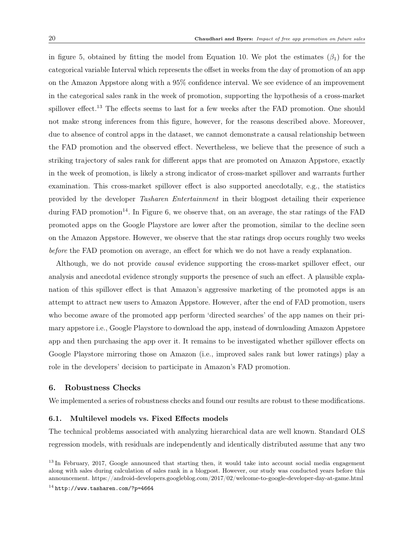in figure 5, obtained by fitting the model from Equation 10. We plot the estimates  $(\beta_1)$  for the categorical variable Interval which represents the offset in weeks from the day of promotion of an app on the Amazon Appstore along with a 95% confidence interval. We see evidence of an improvement in the categorical sales rank in the week of promotion, supporting the hypothesis of a cross-market spillover effect.<sup>13</sup> The effects seems to last for a few weeks after the FAD promotion. One should not make strong inferences from this figure, however, for the reasons described above. Moreover, due to absence of control apps in the dataset, we cannot demonstrate a causal relationship between the FAD promotion and the observed effect. Nevertheless, we believe that the presence of such a striking trajectory of sales rank for different apps that are promoted on Amazon Appstore, exactly in the week of promotion, is likely a strong indicator of cross-market spillover and warrants further examination. This cross-market spillover effect is also supported anecdotally, e.g., the statistics provided by the developer Tasharen Entertainment in their blogpost detailing their experience during FAD promotion<sup>14</sup>. In Figure 6, we observe that, on an average, the star ratings of the FAD promoted apps on the Google Playstore are lower after the promotion, similar to the decline seen on the Amazon Appstore. However, we observe that the star ratings drop occurs roughly two weeks before the FAD promotion on average, an effect for which we do not have a ready explanation.

Although, we do not provide *causal* evidence supporting the cross-market spillover effect, our analysis and anecdotal evidence strongly supports the presence of such an effect. A plausible explanation of this spillover effect is that Amazon's aggressive marketing of the promoted apps is an attempt to attract new users to Amazon Appstore. However, after the end of FAD promotion, users who become aware of the promoted app perform 'directed searches' of the app names on their primary appstore i.e., Google Playstore to download the app, instead of downloading Amazon Appstore app and then purchasing the app over it. It remains to be investigated whether spillover effects on Google Playstore mirroring those on Amazon (i.e., improved sales rank but lower ratings) play a role in the developers' decision to participate in Amazon's FAD promotion.

## 6. Robustness Checks

We implemented a series of robustness checks and found our results are robust to these modifications.

#### 6.1. Multilevel models vs. Fixed Effects models

The technical problems associated with analyzing hierarchical data are well known. Standard OLS regression models, with residuals are independently and identically distributed assume that any two

 $14$  http://www.tasharen.com/?p=4664

<sup>&</sup>lt;sup>13</sup> In February, 2017, Google announced that starting then, it would take into account social media engagement along with sales during calculation of sales rank in a blogpost. However, our study was conducted years before this announcement. https://android-developers.googleblog.com/2017/02/welcome-to-google-developer-day-at-game.html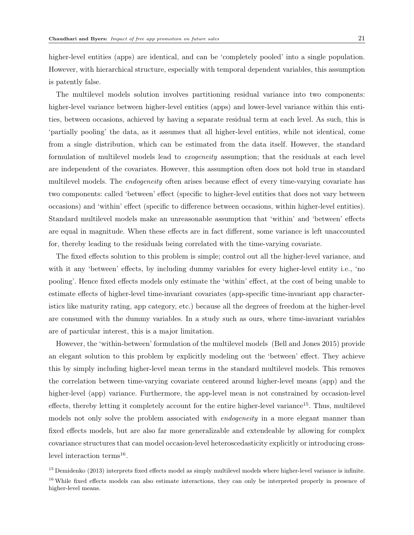higher-level entities (apps) are identical, and can be 'completely pooled' into a single population. However, with hierarchical structure, especially with temporal dependent variables, this assumption is patently false.

The multilevel models solution involves partitioning residual variance into two components: higher-level variance between higher-level entities (apps) and lower-level variance within this entities, between occasions, achieved by having a separate residual term at each level. As such, this is 'partially pooling' the data, as it assumes that all higher-level entities, while not identical, come from a single distribution, which can be estimated from the data itself. However, the standard formulation of multilevel models lead to exogeneity assumption; that the residuals at each level are independent of the covariates. However, this assumption often does not hold true in standard multilevel models. The *endogeneity* often arises because effect of every time-varying covariate has two components: called 'between' effect (specific to higher-level entities that does not vary between occasions) and 'within' effect (specific to difference between occasions, within higher-level entities). Standard multilevel models make an unreasonable assumption that 'within' and 'between' effects are equal in magnitude. When these effects are in fact different, some variance is left unaccounted for, thereby leading to the residuals being correlated with the time-varying covariate.

The fixed effects solution to this problem is simple; control out all the higher-level variance, and with it any 'between' effects, by including dummy variables for every higher-level entity i.e., 'no pooling'. Hence fixed effects models only estimate the 'within' effect, at the cost of being unable to estimate effects of higher-level time-invariant covariates (app-specific time-invariant app characteristics like maturity rating, app category, etc.) because all the degrees of freedom at the higher-level are consumed with the dummy variables. In a study such as ours, where time-invariant variables are of particular interest, this is a major limitation.

However, the 'within-between' formulation of the multilevel models (Bell and Jones 2015) provide an elegant solution to this problem by explicitly modeling out the 'between' effect. They achieve this by simply including higher-level mean terms in the standard multilevel models. This removes the correlation between time-varying covariate centered around higher-level means (app) and the higher-level (app) variance. Furthermore, the app-level mean is not constrained by occasion-level effects, thereby letting it completely account for the entire higher-level variance<sup>15</sup>. Thus, multilevel models not only solve the problem associated with *endogeneity* in a more elegant manner than fixed effects models, but are also far more generalizable and extendeable by allowing for complex covariance structures that can model occasion-level heteroscedasticity explicitly or introducing crosslevel interaction terms<sup>16</sup>.

 $15$  Demidenko (2013) interprets fixed effects model as simply multilevel models where higher-level variance is infinite. <sup>16</sup> While fixed effects models can also estimate interactions, they can only be interpreted properly in presence of higher-level means.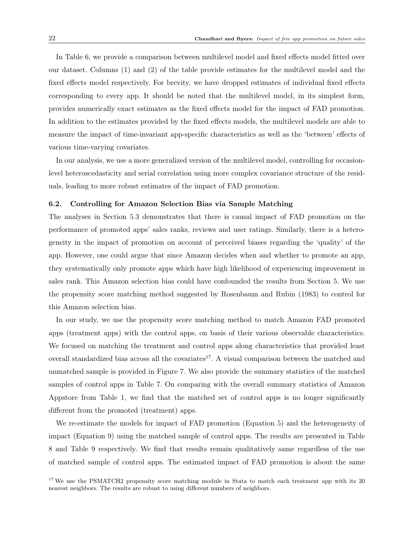In Table 6, we provide a comparison between multilevel model and fixed effects model fitted over our dataset. Columns (1) and (2) of the table provide estimates for the multilevel model and the fixed effects model respectively. For brevity, we have dropped estimates of individual fixed effects corresponding to every app. It should be noted that the multilevel model, in its simplest form, provides numerically exact estimates as the fixed effects model for the impact of FAD promotion. In addition to the estimates provided by the fixed effects models, the multilevel models are able to measure the impact of time-invariant app-specific characteristics as well as the 'between' effects of various time-varying covariates.

In our analysis, we use a more generalized version of the multilevel model, controlling for occasionlevel heteroscedasticity and serial correlation using more complex covariance structure of the residuals, leading to more robust estimates of the impact of FAD promotion.

# 6.2. Controlling for Amazon Selection Bias via Sample Matching

The analyses in Section 5.3 demonstrates that there is causal impact of FAD promotion on the performance of promoted apps' sales ranks, reviews and user ratings. Similarly, there is a heterogeneity in the impact of promotion on account of perceived biases regarding the 'quality' of the app. However, one could argue that since Amazon decides when and whether to promote an app, they systematically only promote apps which have high likelihood of experiencing improvement in sales rank. This Amazon selection bias could have confounded the results from Section 5. We use the propensity score matching method suggested by Rosenbaum and Rubin (1983) to control for this Amazon selection bias.

In our study, we use the propensity score matching method to match Amazon FAD promoted apps (treatment apps) with the control apps, on basis of their various observable characteristics. We focused on matching the treatment and control apps along characteristics that provided least overall standardized bias across all the covariates<sup>17</sup>. A visual comparison between the matched and unmatched sample is provided in Figure 7. We also provide the summary statistics of the matched samples of control apps in Table 7. On comparing with the overall summary statistics of Amazon Appstore from Table 1, we find that the matched set of control apps is no longer significantly different from the promoted (treatment) apps.

We re-estimate the models for impact of FAD promotion (Equation 5) and the heterogeneity of impact (Equation 9) using the matched sample of control apps. The results are presented in Table 8 and Table 9 respectively. We find that results remain qualitatively same regardless of the use of matched sample of control apps. The estimated impact of FAD promotion is about the same

<sup>17</sup> We use the PSMATCH2 propensity score matching module in Stata to match each treatment app with its 20 nearest neighbors. The results are robust to using different numbers of neighbors.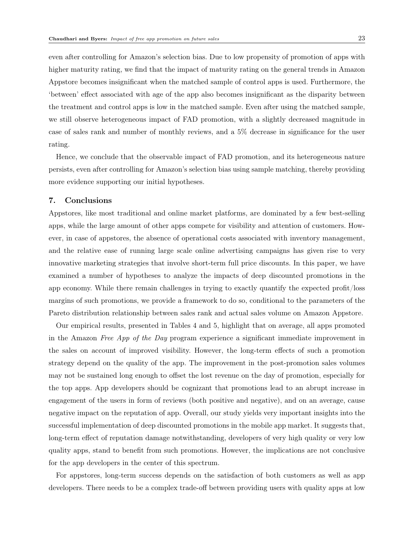even after controlling for Amazon's selection bias. Due to low propensity of promotion of apps with higher maturity rating, we find that the impact of maturity rating on the general trends in Amazon Appstore becomes insignificant when the matched sample of control apps is used. Furthermore, the 'between' effect associated with age of the app also becomes insignificant as the disparity between the treatment and control apps is low in the matched sample. Even after using the matched sample, we still observe heterogeneous impact of FAD promotion, with a slightly decreased magnitude in case of sales rank and number of monthly reviews, and a 5% decrease in significance for the user rating.

Hence, we conclude that the observable impact of FAD promotion, and its heterogeneous nature persists, even after controlling for Amazon's selection bias using sample matching, thereby providing more evidence supporting our initial hypotheses.

# 7. Conclusions

Appstores, like most traditional and online market platforms, are dominated by a few best-selling apps, while the large amount of other apps compete for visibility and attention of customers. However, in case of appstores, the absence of operational costs associated with inventory management, and the relative ease of running large scale online advertising campaigns has given rise to very innovative marketing strategies that involve short-term full price discounts. In this paper, we have examined a number of hypotheses to analyze the impacts of deep discounted promotions in the app economy. While there remain challenges in trying to exactly quantify the expected profit/loss margins of such promotions, we provide a framework to do so, conditional to the parameters of the Pareto distribution relationship between sales rank and actual sales volume on Amazon Appstore.

Our empirical results, presented in Tables 4 and 5, highlight that on average, all apps promoted in the Amazon Free App of the Day program experience a significant immediate improvement in the sales on account of improved visibility. However, the long-term effects of such a promotion strategy depend on the quality of the app. The improvement in the post-promotion sales volumes may not be sustained long enough to offset the lost revenue on the day of promotion, especially for the top apps. App developers should be cognizant that promotions lead to an abrupt increase in engagement of the users in form of reviews (both positive and negative), and on an average, cause negative impact on the reputation of app. Overall, our study yields very important insights into the successful implementation of deep discounted promotions in the mobile app market. It suggests that, long-term effect of reputation damage notwithstanding, developers of very high quality or very low quality apps, stand to benefit from such promotions. However, the implications are not conclusive for the app developers in the center of this spectrum.

For appstores, long-term success depends on the satisfaction of both customers as well as app developers. There needs to be a complex trade-off between providing users with quality apps at low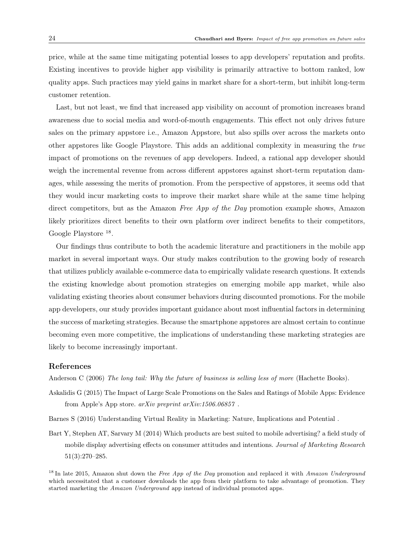price, while at the same time mitigating potential losses to app developers' reputation and profits. Existing incentives to provide higher app visibility is primarily attractive to bottom ranked, low quality apps. Such practices may yield gains in market share for a short-term, but inhibit long-term customer retention.

Last, but not least, we find that increased app visibility on account of promotion increases brand awareness due to social media and word-of-mouth engagements. This effect not only drives future sales on the primary appstore i.e., Amazon Appstore, but also spills over across the markets onto other appstores like Google Playstore. This adds an additional complexity in measuring the true impact of promotions on the revenues of app developers. Indeed, a rational app developer should weigh the incremental revenue from across different appstores against short-term reputation damages, while assessing the merits of promotion. From the perspective of appstores, it seems odd that they would incur marketing costs to improve their market share while at the same time helping direct competitors, but as the Amazon Free App of the Day promotion example shows, Amazon likely prioritizes direct benefits to their own platform over indirect benefits to their competitors, Google Playstore<sup>18</sup>.

Our findings thus contribute to both the academic literature and practitioners in the mobile app market in several important ways. Our study makes contribution to the growing body of research that utilizes publicly available e-commerce data to empirically validate research questions. It extends the existing knowledge about promotion strategies on emerging mobile app market, while also validating existing theories about consumer behaviors during discounted promotions. For the mobile app developers, our study provides important guidance about most influential factors in determining the success of marketing strategies. Because the smartphone appstores are almost certain to continue becoming even more competitive, the implications of understanding these marketing strategies are likely to become increasingly important.

# References

Anderson C (2006) The long tail: Why the future of business is selling less of more (Hachette Books).

- Askalidis G (2015) The Impact of Large Scale Promotions on the Sales and Ratings of Mobile Apps: Evidence from Apple's App store. arXiv preprint arXiv:1506.06857 .
- Barnes S (2016) Understanding Virtual Reality in Marketing: Nature, Implications and Potential .
- Bart Y, Stephen AT, Sarvary M (2014) Which products are best suited to mobile advertising? a field study of mobile display advertising effects on consumer attitudes and intentions. Journal of Marketing Research 51(3):270–285.

 $18$  In late 2015, Amazon shut down the Free App of the Day promotion and replaced it with Amazon Underground which necessitated that a customer downloads the app from their platform to take advantage of promotion. They started marketing the Amazon Underground app instead of individual promoted apps.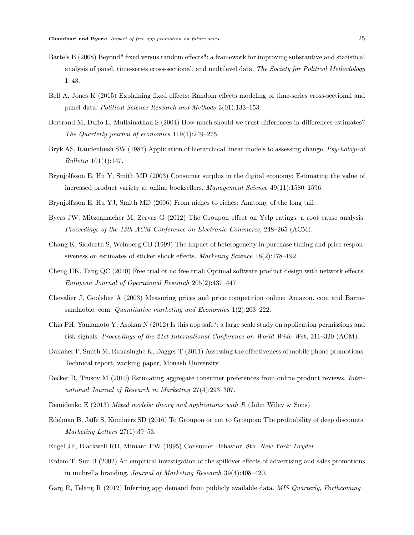- Bartels B (2008) Beyond" fixed versus random effects": a framework for improving substantive and statistical analysis of panel, time-series cross-sectional, and multilevel data. The Society for Political Methodology 1–43.
- Bell A, Jones K (2015) Explaining fixed effects: Random effects modeling of time-series cross-sectional and panel data. Political Science Research and Methods 3(01):133–153.
- Bertrand M, Duflo E, Mullainathan S (2004) How much should we trust differences-in-differences estimates? The Quarterly journal of economics 119(1):249–275.
- Bryk AS, Raudenbush SW (1987) Application of hierarchical linear models to assessing change. Psychological Bulletin 101(1):147.
- Brynjolfsson E, Hu Y, Smith MD (2003) Consumer surplus in the digital economy: Estimating the value of increased product variety at online booksellers. Management Science 49(11):1580-1596.
- Brynjolfsson E, Hu YJ, Smith MD (2006) From niches to riches: Anatomy of the long tail .
- Byers JW, Mitzenmacher M, Zervas G (2012) The Groupon effect on Yelp ratings: a root cause analysis. Proceedings of the 13th ACM Conference on Electronic Commerce, 248–265 (ACM).
- Chang K, Siddarth S, Weinberg CB (1999) The impact of heterogeneity in purchase timing and price responsiveness on estimates of sticker shock effects. Marketing Science 18(2):178-192.
- Cheng HK, Tang QC (2010) Free trial or no free trial: Optimal software product design with network effects. European Journal of Operational Research 205(2):437–447.
- Chevalier J, Goolsbee A (2003) Measuring prices and price competition online: Amazon. com and Barnesandnoble. com. *Quantitative marketing and Economics* 1(2):203-222.
- Chia PH, Yamamoto Y, Asokan N (2012) Is this app safe?: a large scale study on application permissions and risk signals. Proceedings of the 21st International Conference on World Wide Web, 311–320 (ACM).
- Danaher P, Smith M, Ranasinghe K, Dagger T (2011) Assessing the effectiveness of mobile phone promotions. Technical report, working paper, Monash University.
- Decker R, Trusov M (2010) Estimating aggregate consumer preferences from online product reviews. International Journal of Research in Marketing 27(4):293–307.
- Demidenko E (2013) Mixed models: theory and applications with R (John Wiley & Sons).
- Edelman B, Jaffe S, Kominers SD (2016) To Groupon or not to Groupon: The profitability of deep discounts. Marketing Letters 27(1):39–53.
- Engel JF, Blackwell RD, Miniard PW (1995) Consumer Behavior, 8th. New York: Dryder .
- Erdem T, Sun B (2002) An empirical investigation of the spillover effects of advertising and sales promotions in umbrella branding. Journal of Marketing Research 39(4):408–420.
- Garg R, Telang R (2012) Inferring app demand from publicly available data. MIS Quarterly, Forthcoming .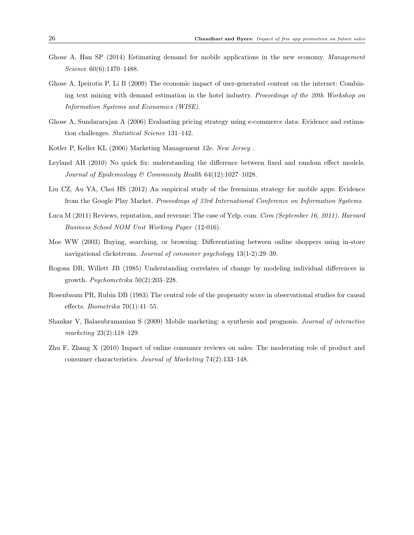- Ghose A, Han SP (2014) Estimating demand for mobile applications in the new economy. Management Science 60(6):1470–1488.
- Ghose A, Ipeirotis P, Li B (2009) The economic impact of user-generated content on the internet: Combining text mining with demand estimation in the hotel industry. Proceedings of the 20th Workshop on Information Systems and Economics (WISE).
- Ghose A, Sundararajan A (2006) Evaluating pricing strategy using e-commerce data: Evidence and estimation challenges. Statistical Science 131–142.
- Kotler P, Keller KL (2006) Marketing Management 12e. New Jersey .
- Leyland AH (2010) No quick fix: understanding the difference between fixed and random effect models. Journal of Epidemiology & Community Health 64(12):1027–1028.
- Liu CZ, Au YA, Choi HS (2012) An empirical study of the freemium strategy for mobile apps: Evidence from the Google Play Market. Proceedings of 33rd International Conference on Information Systems.
- Luca M (2011) Reviews, reputation, and revenue: The case of Yelp. com. Com (September 16, 2011). Harvard Business School NOM Unit Working Paper (12-016).
- Moe WW (2003) Buying, searching, or browsing: Differentiating between online shoppers using in-store navigational clickstream. Journal of consumer psychology 13(1-2):29–39.
- Rogosa DR, Willett JB (1985) Understanding correlates of change by modeling individual differences in growth. Psychometrika 50(2):203–228.
- Rosenbaum PR, Rubin DB (1983) The central role of the propensity score in observational studies for causal effects. *Biometrika*  $70(1):41-55$ .
- Shankar V, Balasubramanian S (2009) Mobile marketing: a synthesis and prognosis. Journal of interactive marketing 23(2):118–129.
- Zhu F, Zhang X (2010) Impact of online consumer reviews on sales: The moderating role of product and consumer characteristics. Journal of Marketing 74(2):133–148.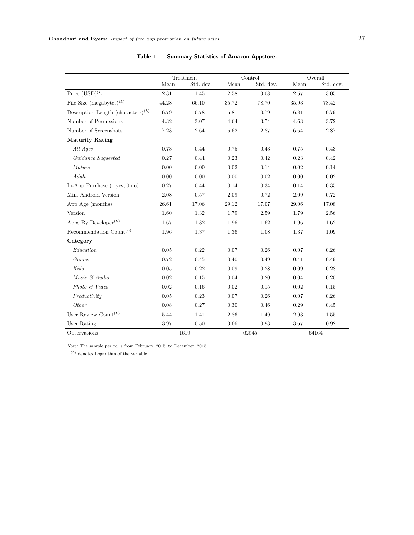|                                                  | Treatment |           | Control |           | Overall  |           |
|--------------------------------------------------|-----------|-----------|---------|-----------|----------|-----------|
|                                                  | Mean      | Std. dev. | Mean    | Std. dev. | Mean     | Std. dev. |
| Price $(USD)^{(L)}$                              | 2.31      | 1.45      | 2.58    | $3.08\,$  | 2.57     | $3.05\,$  |
| File Size (megabytes) <sup>(L)</sup>             | 44.28     | 66.10     | 35.72   | 78.70     | 35.93    | 78.42     |
| Description Length (characters) <sup>(L)</sup>   | 6.79      | 0.78      | 6.81    | 0.79      | 6.81     | 0.79      |
| Number of Permissions                            | 4.32      | 3.07      | 4.64    | 3.74      | 4.63     | 3.72      |
| Number of Screenshots                            | 7.23      | 2.64      | 6.62    | 2.87      | 6.64     | 2.87      |
| <b>Maturity Rating</b>                           |           |           |         |           |          |           |
| All Ages                                         | 0.73      | 0.44      | 0.75    | 0.43      | 0.75     | 0.43      |
| Guidance Suggested                               | 0.27      | 0.44      | 0.23    | 0.42      | 0.23     | 0.42      |
| Mature                                           | 0.00      | 0.00      | 0.02    | 0.14      | 0.02     | 0.14      |
| A dult                                           | 0.00      | 0.00      | 0.00    | 0.02      | 0.00     | 0.02      |
| In-App Purchase $(1:yes, 0:no)$                  | 0.27      | 0.44      | 0.14    | 0.34      | 0.14     | 0.35      |
| Min. Android Version                             | 2.08      | 0.57      | 2.09    | 0.72      | 2.09     | 0.72      |
| App Age (months)                                 | 26.61     | 17.06     | 29.12   | 17.07     | 29.06    | 17.08     |
| Version                                          | 1.60      | 1.32      | 1.79    | 2.59      | 1.79     | 2.56      |
| Apps By Developer <sup>(L)</sup>                 | 1.67      | 1.32      | 1.96    | 1.62      | 1.96     | 1.62      |
| Recommendation Count <sup><math>(L)</math></sup> | 1.96      | 1.37      | 1.36    | 1.08      | 1.37     | 1.09      |
| Category                                         |           |           |         |           |          |           |
| Education                                        | 0.05      | 0.22      | 0.07    | 0.26      | 0.07     | 0.26      |
| Games                                            | 0.72      | 0.45      | 0.40    | 0.49      | 0.41     | 0.49      |
| Kids                                             | 0.05      | 0.22      | 0.09    | 0.28      | 0.09     | 0.28      |
| Music & Audio                                    | 0.02      | 0.15      | 0.04    | 0.20      | 0.04     | 0.20      |
| Photo & Video                                    | $0.02\,$  | 0.16      | 0.02    | 0.15      | 0.02     | 0.15      |
| Productivity                                     | 0.05      | 0.23      | 0.07    | 0.26      | 0.07     | 0.26      |
| Other                                            | 0.08      | 0.27      | 0.30    | 0.46      | 0.29     | 0.45      |
| User Review Count <sup><math>(L)</math></sup>    | 5.44      | 1.41      | 2.86    | 1.49      | 2.93     | 1.55      |
| User Rating                                      | 3.97      | 0.50      | 3.66    | 0.93      | $3.67\,$ | 0.92      |
| Observations                                     |           | 1619      |         | 62545     |          | 64164     |

# Table 1 Summary Statistics of Amazon Appstore.

Note: The sample period is from February, 2015, to December, 2015.

 $\ ^{(L)}$  denotes Logarithm of the variable.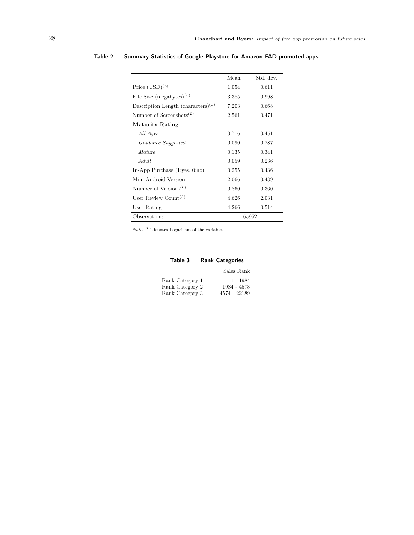|                                                   | Mean  | Std. dev. |
|---------------------------------------------------|-------|-----------|
| Price $(USD)^{(L)}$                               | 1.054 | 0.611     |
| File Size (megabytes) <sup>(L)</sup>              | 3.385 | 0.998     |
| Description Length (characters) <sup>(L)</sup>    | 7.203 | 0.668     |
| Number of Screenshots <sup><math>(L)</math></sup> | 2.561 | 0.471     |
| <b>Maturity Rating</b>                            |       |           |
| All Ages                                          | 0.716 | 0.451     |
| Guidance Suggested                                | 0.090 | 0.287     |
| Mature                                            | 0.135 | 0.341     |
| $A du$ lt                                         | 0.059 | 0.236     |
| In-App Purchase $(1:yes, 0:no)$                   | 0.255 | 0.436     |
| Min. Android Version                              | 2.066 | 0.439     |
| Number of Versions <sup><math>(L)</math></sup>    | 0.860 | 0.360     |
| User Review Count <sup>(L)</sup>                  | 4.626 | 2.031     |
| User Rating                                       | 4.266 | 0.514     |
| Observations                                      |       | 65952     |

# Table 2 Summary Statistics of Google Playstore for Amazon FAD promoted apps.

 $\emph{Note: }$   ${}^{(L)}$  denotes Logarithm of the variable.

| Table 3 | <b>Rank Categories</b> |  |
|---------|------------------------|--|
|         |                        |  |

|                 | Sales Rank   |
|-----------------|--------------|
| Rank Category 1 | 1 - 1984     |
| Rank Category 2 | 1984 - 4573  |
| Rank Category 3 | 4574 - 22189 |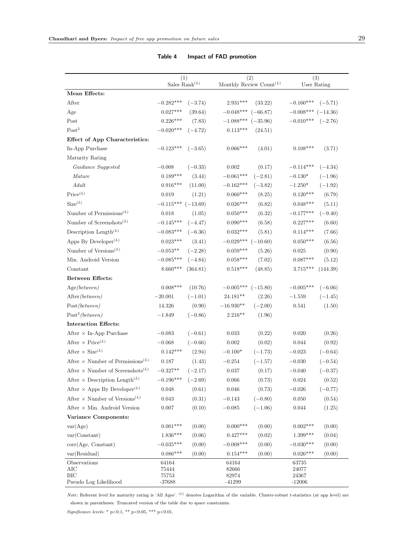|                                                          | (1)                       | (2)                                              | (3)                |
|----------------------------------------------------------|---------------------------|--------------------------------------------------|--------------------|
|                                                          | Sales $\text{Rank}^{(L)}$ | Monthly Review Count <sup><math>(L)</math></sup> | <b>User Rating</b> |
| Mean Effects:                                            |                           |                                                  |                    |
| After                                                    | $-0.282***$               | $2.931***$                                       | $-0.160***$        |
|                                                          | $(-3.74)$                 | (33.22)                                          | $(-5.71)$          |
| Age                                                      | $0.027***$                | $-0.048***$                                      | $-0.008***$        |
|                                                          | (39.64)                   | $(-66.87)$                                       | $(-14.36)$         |
| Post                                                     | $0.226***$                | $-1.088***$                                      | $-0.010***$        |
|                                                          | (7.83)                    | $(-35.96)$                                       | $(-2.76)$          |
| Post <sup>2</sup>                                        | $-0.020***$<br>$(-4.72)$  | $0.113***$<br>(24.51)                            |                    |
| Effect of App Characteristics:                           |                           |                                                  |                    |
| In-App Purchase                                          | $-0.123***$               | $0.066***$                                       | $0.108***$         |
|                                                          | $(-3.65)$                 | (4.01)                                           | (3.71)             |
| Maturity Rating                                          |                           |                                                  |                    |
| Guidance Suggested                                       | $-0.008$                  | 0.002                                            | $-0.114***$        |
|                                                          | $(-0.33)$                 | (0.17)                                           | $(-4.34)$          |
| Mature                                                   | $0.189***$                | $-0.061***$                                      | $-0.130*$          |
|                                                          | (3.44)                    | $(-2.81)$                                        | $(-1.96)$          |
| Adult                                                    | (11.00)                   | $-0.162***$                                      | $-1.250*$          |
|                                                          | $0.916***$                | $(-3.82)$                                        | $(-1.92)$          |
| Price <sup>(L)</sup>                                     | 0.019                     | $0.060***$                                       | $0.120***$         |
|                                                          | (1.21)                    | (8.25)                                           | (6.79)             |
| $\operatorname{Size}^{(L)}$                              | $-0.115***$               | $0.026***$                                       | $0.048***$         |
|                                                          | $(-13.69)$                | (6.82)                                           | (5.11)             |
| Number of Permissions <sup><math>(L)</math></sup>        | 0.018                     | $0.050***$                                       | $-0.177***$        |
|                                                          | (1.05)                    | (6.32)                                           | $(-9.40)$          |
| Number of $\operatorname{Screenshots}(^{L)}$             | $-0.145***$               | $0.090***$                                       | $0.227***$         |
|                                                          | $(-4.47)$                 | (6.58)                                           | (6.60)             |
| Description $\mathrm{Length}^{(L)}$                      | $-0.083***$               | $0.032***$                                       | $0.114***$         |
|                                                          | $(-6.36)$                 | (5.81)                                           | (7.66)             |
| Apps By Developer <sup><math>(L)</math></sup>            | $0.023***$                | $-0.029***$                                      | $0.050***$         |
|                                                          | (3.41)                    | $(-10.60)$                                       | (6.56)             |
| Number of $Versions^{(L)}$                               | $-0.053**$                | $0.059***$                                       | 0.025              |
|                                                          | $(-2.28)$                 | (5.26)                                           | (0.90)             |
| Min. Android Version                                     | $-0.085***$               | $0.058***$                                       | $0.087***$         |
|                                                          | $(-4.84)$                 | (7.02)                                           | (5.12)             |
| Constant                                                 | $8.660***$                | $0.518***$                                       | $3.715***$         |
|                                                          | (364.81)                  | (48.85)                                          | (144.39)           |
| Between Effects:                                         |                           |                                                  |                    |
| Age(between)                                             | $0.008***$                | $-0.005***$                                      | $-0.005***$        |
|                                                          | (10.76)                   | $(-15.80)$                                       | $(-6.06)$          |
| After(between)                                           | $-20.001$                 | $24.181**$                                       | $-1.559$           |
|                                                          | $(-1.01)$                 | (2.26)                                           | $(-1.45)$          |
| Post(between)                                            | 14.326                    | $-16.930**$                                      | 0.541              |
|                                                          | (0.90)                    | $(-2.00)$                                        | (1.50)             |
| Post <sup>2</sup> (between)                              | $-1.849$<br>$(-0.86)$     | $2.216**$<br>(1.96)                              |                    |
| <b>Interaction Effects:</b>                              |                           |                                                  |                    |
| After $\times$ In-App Purchase                           | $-0.083$                  | 0.033                                            | 0.020              |
|                                                          | $(-0.61)$                 | (0.22)                                           | (0.26)             |
| After $\times$ Price <sup>(L)</sup>                      | $-0.068$                  | 0.002                                            | 0.044              |
|                                                          | $(-0.66)$                 | (0.02)                                           | (0.92)             |
| After $\times$ Size <sup>(L)</sup>                       | $0.142***$                | $-0.100*$                                        | $-0.023$           |
|                                                          | (2.94)                    | $(-1.73)$                                        | $(-0.64)$          |
| After $\times$ Number of Permissions <sup>(L)</sup>      | (1.43)                    | $-0.254$                                         | $-0.030$           |
|                                                          | 0.187                     | $(-1.57)$                                        | $(-0.54)$          |
| After $\times$ Number of Screen<br>shots $\real^{(L)}$   | $-0.327^{\ast\ast}$       | $0.037\,$                                        | $-0.040$           |
|                                                          | $(-2.17)$                 | (0.17)                                           | $(-0.37)$          |
| After $\times$ Description Length <sup>(L)</sup>         | $-0.196***$               | 0.066                                            | 0.024              |
|                                                          | $(-2.69)$                 | (0.73)                                           | (0.52)             |
| After $\times$ Apps By Developer <sup>(L)</sup>          | (0.61)                    | 0.046                                            | $-0.026$           |
|                                                          | $0.048\,$                 | (0.73)                                           | $(-0.77)$          |
| After $\times$ Number of $\operatorname{Versions}^{(L)}$ | $\,0.043\,$               | $-0.143$                                         | 0.050              |
|                                                          | (0.31)                    | $(-0.80)$                                        | (0.54)             |
| After $\times$ Min. Android Version                      | $0.007\,$                 | $-0.085$                                         | 0.044              |
|                                                          | (0.10)                    | $(-1.06)$                                        | (1.25)             |
| Variance Components:                                     |                           |                                                  |                    |
| var(Age)                                                 | $0.001***$                | $0.000***$                                       | $0.002***$         |
|                                                          | (0.00)                    | (0.00)                                           | (0.00)             |
| var(Constant)                                            | $1.836***$                | $0.427***$                                       | $1.399***$         |
|                                                          | (0.06)                    | (0.02)                                           | (0.04)             |
| corr(Age, Constant)                                      | $-0.035***$               | $-0.008***$                                      | $-0.030***$        |
|                                                          | (0.00)                    | (0.00)                                           | (0.00)             |
| var(Residual)                                            | $0.086***$                | $0.154***$                                       | $0.026***$         |
|                                                          | (0.00)                    | (0.00)                                           | (0.00)             |
| Observations                                             | 64164                     | 64164                                            | 63735              |
| <b>AIC</b>                                               | 75444                     | 82666                                            | 24077              |
| BIC                                                      | 75753                     | 82974                                            | 24367              |
| Pseudo Log Likelihood                                    | $-37688$                  | $-41299$                                         | $-12006$           |

#### Table 4 Impact of FAD promotion

 $\emph{Note:}$  Referent level for maturity rating is 'All Ages'.  $^{(L)}$  denotes Logarithm of the variable. Cluster-robust t-statistics (at app level) are shown in parentheses. Truncated version of the table due to space constraints.

 $Significance$   $levels:$  \* p<0.1, \*\* p<0.05, \*\*\* p<0.01.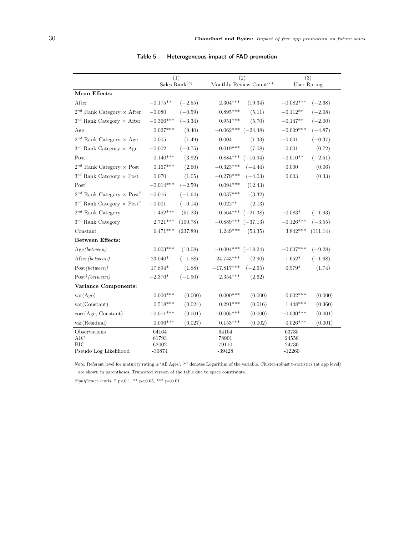|                                                            | (1)<br>Sales $\mathrm{Rank}^{(L)}$  |           |                                     | (2)<br>Monthly Review Count <sup><math>(L)</math></sup> | (3)<br>User Rating                  |           |
|------------------------------------------------------------|-------------------------------------|-----------|-------------------------------------|---------------------------------------------------------|-------------------------------------|-----------|
| Mean Effects:                                              |                                     |           |                                     |                                                         |                                     |           |
| After                                                      | $-0.175**$                          | $(-2.55)$ | $2.304***$                          | (19.34)                                                 | $-0.082$ ***                        | $(-2.68)$ |
| $2^{nd}$ Rank Category $\times$ After                      | $-0.080$                            | $(-0.59)$ | $0.895***$                          | (5.11)                                                  | $-0.112**$                          | $(-2.08)$ |
| $3^{rd}$ Rank Category $\times$ After                      | $-0.366***$                         | $(-3.34)$ | $0.951***$                          | (5.70)                                                  | $-0.147**$                          | $(-2.00)$ |
| Age                                                        | $0.027***$                          | (9.40)    | $-0.062***$ $(-24.48)$              |                                                         | $-0.009***$                         | $(-4.87)$ |
| $2^{nd}$ Rank Category $\times$ Age                        | 0.005                               | (1.49)    | 0.004                               | (1.33)                                                  | $-0.001$                            | $(-0.37)$ |
| $3^{rd}$ Rank Category $\times$ Age                        | $-0.002$                            | $(-0.75)$ | $0.019***$                          | (7.08)                                                  | $0.001\,$                           | (0.72)    |
| Post                                                       | $0.140***$                          | (3.92)    | $-0.884***$                         | $(-16.94)$                                              | $-0.010**$                          | $(-2.51)$ |
| $2^{nd}$ Rank Category $\times$ Post                       | $0.167***$                          | (2.60)    | $-0.323***$                         | $(-4.44)$                                               | 0.000                               | (0.06)    |
| $3^{rd}$ Rank Category $\times$ Post                       | 0.070                               | (1.05)    | $-0.279***$                         | $(-4.03)$                                               | 0.003                               | (0.33)    |
| Post <sup>2</sup>                                          | $-0.014***$                         | $(-2.59)$ | $0.094***$                          | (12.43)                                                 |                                     |           |
| $2^{nd}$ Rank Category $\times$ Post <sup>2</sup>          | $-0.016$                            | $(-1.64)$ | $0.037***$                          | (3.32)                                                  |                                     |           |
| $3^{rd}$ Rank Category $\times$ Post <sup>2</sup>          | $-0.001$                            | $(-0.14)$ | $0.022**$                           | (2.13)                                                  |                                     |           |
| $2^{nd}$ Rank Category                                     | $1.452***$                          | (51.23)   | $-0.564***$                         | $(-21.38)$                                              | $-0.083*$                           | $(-1.93)$ |
| $3^{rd}$ Rank Category                                     | $2.721***$                          | (100.78)  | $-0.889***$                         | $(-37.13)$                                              | $-0.126***$                         | $(-3.55)$ |
| Constant                                                   | $6.471***$                          | (237.89)  | $1.249***$                          | (53.35)                                                 | $3.842***$                          | (111.14)  |
| Between Effects:                                           |                                     |           |                                     |                                                         |                                     |           |
| Age(between)                                               | $0.003***$                          | (10.08)   | $-0.004***$ $(-18.24)$              |                                                         | $-0.007***$                         | $(-9.28)$ |
| After(between)                                             | $-23.040*$                          | $(-1.88)$ | 24.743***                           | (2.90)                                                  | $-1.652*$                           | $(-1.68)$ |
| Post(between)                                              | 17.894*                             | (1.88)    | $-17.817***$                        | $(-2.65)$                                               | $0.579*$                            | (1.74)    |
| Post <sup>2</sup> (between)                                | $-2.376*$                           | $(-1.90)$ | $2.354***$                          | (2.62)                                                  |                                     |           |
| Variance Components:                                       |                                     |           |                                     |                                                         |                                     |           |
| var(Age)                                                   | $0.000***$                          | (0.000)   | $0.000***$                          | (0.000)                                                 | $0.002***$                          | (0.000)   |
| var(Constant)                                              | $0.518***$                          | (0.024)   | $0.291***$                          | (0.016)                                                 | $1.448***$                          | (0.360)   |
| corr(Age, Constant)                                        | $-0.011***$                         | (0.001)   | $-0.005***$                         | (0.000)                                                 | $-0.030***$                         | (0.001)   |
| var(Residual)                                              | $0.096***$                          | (0.027)   | $0.153***$                          | (0.002)                                                 | $0.026***$                          | (0.001)   |
| Observations<br>AIC<br><b>BIC</b><br>Pseudo Log Likelihood | 64164<br>61793<br>62002<br>$-30874$ |           | 64164<br>78901<br>79110<br>$-39428$ |                                                         | 63735<br>24558<br>24730<br>$-12260$ |           |

Table 5 Heterogeneous impact of FAD promotion

Note: Referent level for maturity rating is 'All Ages'.  $^{(L)}$  denotes Logarithm of the variable. Cluster-robust t-statistics (at app level) are shown in parentheses. Truncated version of the table due to space constraints.

 $\label{eq:3} Significance~levels: \text{ }^{\ast} \text{ } \text{p}<\!0.1, \text{ } ^{\ast\ast} \text{ } \text{p}<\!0.05, \text{ } ^{\ast\ast\ast} \text{ } \text{p}<\!0.01.$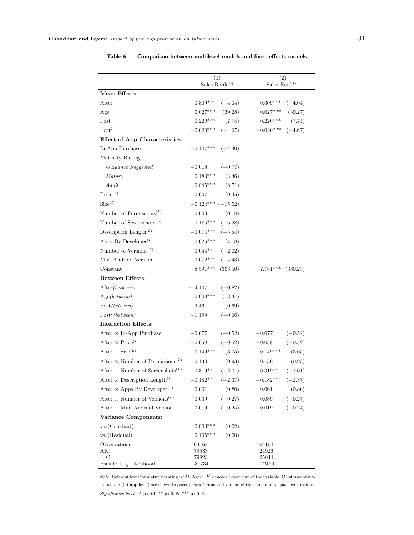|                                                          | Sales $\text{Rank}^{(L)}$ | (1)       | (2)<br>Sales $Rank^{(L)}$ |           |  |
|----------------------------------------------------------|---------------------------|-----------|---------------------------|-----------|--|
| Mean Effects:                                            |                           |           |                           |           |  |
| After                                                    | $-0.309***$               | $(-4.04)$ | $-0.309***$               | $(-4.04)$ |  |
| Age                                                      | $0.027***$                | (39.28)   | $0.027***$                | (39.27)   |  |
| Post                                                     | $0.220***$                | (7.74)    | $0.220***$                | (7.74)    |  |
| Post <sup>2</sup>                                        | $-0.020***$               | $(-4.67)$ | $-0.020***$               | $(-4.67)$ |  |
| Effect of App Characteristics:                           |                           |           |                           |           |  |
| In-App Purchase                                          | $-0.147***$ $(-4.40)$     |           |                           |           |  |
| Maturity Rating                                          |                           |           |                           |           |  |
| Guidance Suggested                                       | $-0.018$                  | $(-0.77)$ |                           |           |  |
| Mature                                                   | $0.183***$                | (3.46)    |                           |           |  |
| Adult                                                    | $0.845***$                | (8.71)    |                           |           |  |
| Price <sup>(L)</sup>                                     | 0.007                     | (0.45)    |                           |           |  |
| $Size^{(L)}$                                             | $-0.124***$ $(-15.52)$    |           |                           |           |  |
| Number of Permissions <sup><math>(L)</math></sup>        | 0.003                     | (0.18)    |                           |           |  |
| Number of Screenshots <sup><math>(L)</math></sup>        | $-0.185***$ $(-6.28)$     |           |                           |           |  |
| Description Length <sup><math>(L)</math></sup>           | $-0.074***$               | $(-5.84)$ |                           |           |  |
| Apps By Developer <sup><math>(L)</math></sup>            | $0.026***$                | (4.18)    |                           |           |  |
| Number of $Versions^{(L)}$                               | $-0.044**$                | $(-2.02)$ |                           |           |  |
| Min. Android Version                                     | $-0.072***$ $(-4.43)$     |           |                           |           |  |
| Constant                                                 | $8.591***$                | (363.50)  | $7.781***$                | (389.23)  |  |
| <b>Between Effects:</b>                                  |                           |           |                           |           |  |
| After (between)                                          | $-14.107$                 | $(-0.82)$ |                           |           |  |
| Age(between)                                             | $0.009***$                | (13.31)   |                           |           |  |
| Post(between)                                            | 9.461                     | (0.69)    |                           |           |  |
| Post <sup>2</sup> (between)                              | $-1.199$                  | $(-0.66)$ |                           |           |  |
| <b>Interaction Effects:</b>                              |                           |           |                           |           |  |
| After $\times$ In-App Purchase                           | $-0.077$                  | $(-0.52)$ | $-0.077$                  | $(-0.52)$ |  |
| After $\times$ Price <sup>(L)</sup>                      | $-0.058$                  | $(-0.52)$ | $-0.058$                  | $(-0.52)$ |  |
| After $\times$ Size <sup>(L)</sup>                       | $0.149***$                | (3.05)    | $0.149***$                | (3.05)    |  |
| After $\times$ Number of Permissions <sup>(L)</sup>      | 0.130                     | (0.93)    | 0.130                     | (0.93)    |  |
| After $\times$ Number of Screenshots <sup>(L)</sup>      | $-0.319**$                | $(-2.01)$ | $-0.319**$                | $(-2.01)$ |  |
| After $\times$ Description Length <sup>(L)</sup>         | $-0.182**$                | $(-2.37)$ | $-0.182**$                | $(-2.37)$ |  |
| After $\times$ Apps By Developer <sup>(L)</sup>          | 0.061                     | (0.80)    | 0.061                     | (0.80)    |  |
| After $\times$ Number of $\operatorname{Versions}^{(L)}$ | $-0.039$                  | $(-0.27)$ | $-0.039$                  | $(-0.27)$ |  |
| After $\times$ Min. Android Version                      | $-0.019$                  | $(-0.24)$ | $-0.019$                  | $(-0.24)$ |  |
| Variance Components:                                     |                           |           |                           |           |  |
| var(Constant)                                            | $0.903***$                | (0.02)    |                           |           |  |
| var(Residual)                                            | $0.105***$                | (0.00)    |                           |           |  |
| Observations                                             | 64164                     |           | 64164                     |           |  |
| AІC<br>BІC                                               | 79533<br>79823            |           | 24926<br>25044            |           |  |
| Pseudo Log Likelihood                                    | $-39734$                  |           | $-12450$                  |           |  |

#### Table 6 Comparison between multilevel models and fixed effects models

Note: Referent level for maturity rating is 'All Ages'.  $^{(L)}$  denotes Logarithm of the variable. Cluster-robust tstatistics (at app level) are shown in parentheses. Truncated version of the table due to space constraints.

 $Significance$   $levels{:}$  \* p<0.1, \*\* p<0.05, \*\*\* p<0.01.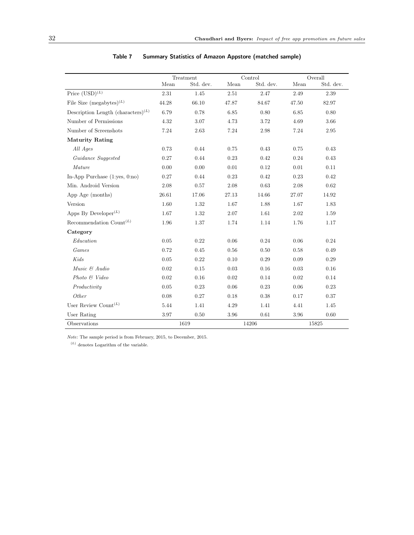|                                                  | Treatment |           | Control  |           | Overall  |           |
|--------------------------------------------------|-----------|-----------|----------|-----------|----------|-----------|
|                                                  | Mean      | Std. dev. | Mean     | Std. dev. | Mean     | Std. dev. |
| Price $(USD)^{(L)}$                              | 2.31      | 1.45      | 2.51     | 2.47      | 2.49     | 2.39      |
| File Size (megabytes) <sup>(L)</sup>             | 44.28     | 66.10     | 47.87    | 84.67     | 47.50    | 82.97     |
| Description Length (characters) <sup>(L)</sup>   | 6.79      | 0.78      | $6.85\,$ | 0.80      | 6.85     | 0.80      |
| Number of Permissions                            | 4.32      | 3.07      | 4.73     | 3.72      | 4.69     | 3.66      |
| Number of Screenshots                            | 7.24      | 2.63      | 7.24     | 2.98      | 7.24     | 2.95      |
| <b>Maturity Rating</b>                           |           |           |          |           |          |           |
| All Ages                                         | 0.73      | 0.44      | 0.75     | 0.43      | 0.75     | 0.43      |
| Guidance Suggested                               | 0.27      | 0.44      | 0.23     | 0.42      | 0.24     | 0.43      |
| Mature                                           | 0.00      | 0.00      | 0.01     | 0.12      | 0.01     | 0.11      |
| In-App Purchase $(1:yes, 0:no)$                  | 0.27      | 0.44      | 0.23     | 0.42      | $0.23\,$ | 0.42      |
| Min. Android Version                             | 2.08      | 0.57      | $2.08\,$ | 0.63      | 2.08     | 0.62      |
| App Age (months)                                 | 26.61     | 17.06     | 27.13    | 14.66     | 27.07    | 14.92     |
| Version                                          | 1.60      | 1.32      | 1.67     | 1.88      | 1.67     | 1.83      |
| Apps By Developer <sup>(L)</sup>                 | 1.67      | 1.32      | 2.07     | 1.61      | 2.02     | 1.59      |
| Recommendation Count <sup><math>(L)</math></sup> | 1.96      | 1.37      | 1.74     | 1.14      | 1.76     | 1.17      |
| Category                                         |           |           |          |           |          |           |
| Education                                        | 0.05      | 0.22      | 0.06     | 0.24      | 0.06     | 0.24      |
| Games                                            | 0.72      | 0.45      | 0.56     | 0.50      | 0.58     | 0.49      |
| Kids                                             | 0.05      | 0.22      | 0.10     | 0.29      | 0.09     | 0.29      |
| Music & Audio                                    | 0.02      | 0.15      | 0.03     | 0.16      | 0.03     | 0.16      |
| Photo & Video                                    | 0.02      | 0.16      | 0.02     | 0.14      | 0.02     | 0.14      |
| Productivity                                     | 0.05      | 0.23      | 0.06     | 0.23      | 0.06     | 0.23      |
| Other                                            | 0.08      | $0.27\,$  | 0.18     | 0.38      | 0.17     | 0.37      |
| User Review Count <sup><math>(L)</math></sup>    | 5.44      | 1.41      | 4.29     | 1.41      | 4.41     | 1.45      |
| User Rating                                      | 3.97      | 0.50      | 3.96     | 0.61      | 3.96     | 0.60      |
| Observations                                     |           | 1619      |          | 14206     |          | 15825     |

# Table 7 Summary Statistics of Amazon Appstore (matched sample)

 $\emph{Note:}$  The sample period is from February, 2015, to December, 2015.

 $\ ^{(L)}$  denotes Logarithm of the variable.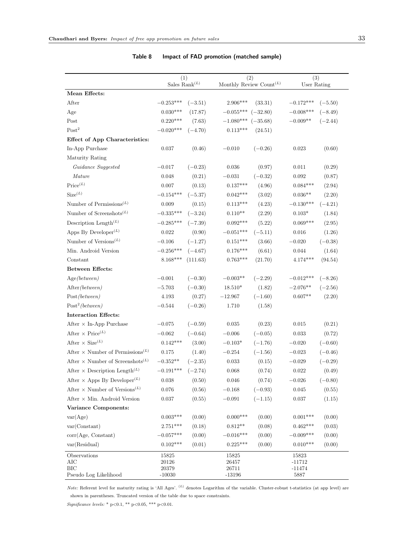|                                                          | (1)<br>Sales $\text{Rank}^{(L)}$ |           | (2)<br>Monthly Review Count $^{(L)}$ |            | (3)<br>User Rating   |           |
|----------------------------------------------------------|----------------------------------|-----------|--------------------------------------|------------|----------------------|-----------|
| Mean Effects:                                            |                                  |           |                                      |            |                      |           |
| After                                                    | $-0.253***$                      | $(-3.51)$ | $2.906***$                           | (33.31)    | $-0.172***$          | $(-5.50)$ |
| Age                                                      | $0.030***$                       | (17.87)   | $-0.055***$                          | $(-32.80)$ | $-0.008***$          | $(-8.49)$ |
| Post                                                     | $0.220***$                       | (7.63)    | $-1.080***$                          | $(-35.68)$ | $-0.009**$           | $(-2.44)$ |
| $\mathrm{Post}^2$                                        | $-0.020***$                      | $(-4.70)$ | $0.113***$                           | (24.51)    |                      |           |
| Effect of App Characteristics:                           |                                  |           |                                      |            |                      |           |
| In-App Purchase                                          | 0.037                            | (0.46)    | $-0.010$                             | $(-0.26)$  | 0.023                | (0.60)    |
| Maturity Rating                                          |                                  |           |                                      |            |                      |           |
| Guidance Suggested                                       | $-0.017$                         | $(-0.23)$ | 0.036                                | (0.97)     | 0.011                | (0.29)    |
| Mature                                                   | 0.048                            | (0.21)    | $-0.031$                             | $(-0.32)$  | 0.092                | (0.87)    |
| Price <sup>(L)</sup>                                     | 0.007                            | (0.13)    | $0.137***$                           | (4.96)     | $0.084***$           | (2.94)    |
| $Size^{(L)}$                                             | $-0.154***$                      | $(-5.37)$ | $0.042***$                           | (3.02)     | $0.036**$            | (2.20)    |
| Number of Permissions <sup><math>(L)</math></sup>        | 0.009                            | (0.15)    | $0.113***$                           | (4.23)     | $-0.130***$          | $(-4.21)$ |
| Number of Screenshots <sup><math>(L)</math></sup>        | $-0.335***$                      | $(-3.24)$ | $0.110**$                            | (2.29)     | $0.103*$             | (1.84)    |
| Description $\mathrm{Length}^{(L)}$                      | $-0.285***$                      | $(-7.39)$ | $0.092***$                           | (5.22)     | $0.069***$           | (2.95)    |
| Apps By Developer <sup>(L)</sup>                         | 0.022                            | (0.90)    | $-0.051***$                          | $(-5.11)$  | 0.016                | (1.26)    |
| Number of $\mbox{Versions}^{(L)}$                        | $-0.106$                         | $(-1.27)$ | $0.151***$                           | (3.66)     | $-0.020$             | $(-0.38)$ |
| Min. Android Version                                     | $-0.256***$                      | $(-4.67)$ | $0.176***$                           | (6.61)     | 0.044                | (1.64)    |
| Constant                                                 | $8.168***$                       | (111.63)  | $0.763***$                           | (21.70)    | $4.174***$           | (94.54)   |
| <b>Between Effects:</b>                                  |                                  |           |                                      |            |                      |           |
| Age(between)                                             | $-0.001$                         | $(-0.30)$ | $-0.003**$                           | $(-2.29)$  | $-0.012***$          | $(-8.26)$ |
| After(between)                                           | $-5.703$                         | $(-0.30)$ | 18.510*                              | (1.82)     | $-2.076**$           | $(-2.56)$ |
| Post(between)                                            | 4.193                            | (0.27)    | $-12.967$                            | $(-1.60)$  | $0.607**$            | (2.20)    |
| Post <sup>2</sup> (between)                              | $-0.544$                         | $(-0.26)$ | 1.710                                | (1.58)     |                      |           |
| <b>Interaction Effects:</b>                              |                                  |           |                                      |            |                      |           |
| After $\times$ In-App Purchase                           | $-0.075$                         | $(-0.59)$ | 0.035                                | (0.23)     | 0.015                | (0.21)    |
| After $\times$ Price <sup>(L)</sup>                      | $-0.062$                         | $(-0.64)$ | $-0.006$                             | $(-0.05)$  | 0.033                | (0.72)    |
| After $\times$ Size <sup>(L)</sup>                       | $0.142***$                       | (3.00)    | $-0.103*$                            | $(-1.76)$  | $-0.020$             | $(-0.60)$ |
| After $\times$ Number of Permissions <sup>(L)</sup>      | 0.175                            | (1.40)    | $-0.254$                             | $(-1.56)$  | $-0.023$             | $(-0.46)$ |
| After $\times$ Number of Screenshots<br>$\sp{(L)}$       | $-0.352**$                       | $(-2.35)$ | 0.033                                | (0.15)     | $-0.029$             | $(-0.29)$ |
| After $\times$ Description Length <sup>(L)</sup>         | $-0.191***$                      | $(-2.74)$ | 0.068                                | (0.74)     | 0.022                | (0.49)    |
| After $\times$ Apps By Developer <sup>(L)</sup>          | 0.038                            | (0.50)    | 0.046                                | (0.74)     | $-0.026$             | $(-0.80)$ |
| After $\times$ Number of $\operatorname{Versions}^{(L)}$ | 0.076                            | (0.56)    | $-0.168$                             | $(-0.93)$  | $0.045\,$            | (0.55)    |
| After $\times$ Min. Android Version                      | 0.037                            | (0.55)    | $-0.091$                             | $(-1.15)$  | $0.037\,$            | (1.15)    |
| Variance Components:                                     |                                  |           |                                      |            |                      |           |
| var(Age)                                                 | $0.003***$                       | (0.00)    | $0.000***$                           | (0.00)     | $0.001***$           | (0.00)    |
| var(Constant)                                            | $2.751***$                       | (0.18)    | $0.812**$                            | (0.08)     | $0.462***$           | (0.03)    |
| corr(Age, Constant)                                      | $-0.057***$                      | (0.00)    | $-0.016***$                          | (0.00)     | $-0.009***$          | (0.00)    |
| var(Residual)                                            | $0.102***$                       | (0.01)    | $0.225***$                           | (0.00)     | $0.010***$           | (0.00)    |
| Observations                                             | 15825                            |           | 15825                                |            | 15823                |           |
| AІC<br><b>BIC</b>                                        | 20126<br>20379                   |           | 26457<br>26711                       |            | $-11712$<br>$-11474$ |           |
| Pseudo Log Likelihood                                    | $-10030$                         |           | $-13196$                             |            | 5887                 |           |

#### Table 8 Impact of FAD promotion (matched sample)

*Note:* Referent level for maturity rating is 'All Ages'.  $^{(L)}$  denotes Logarithm of the variable. Cluster-robust t-statistics (at app level) are shown in parentheses. Truncated version of the table due to space constraints.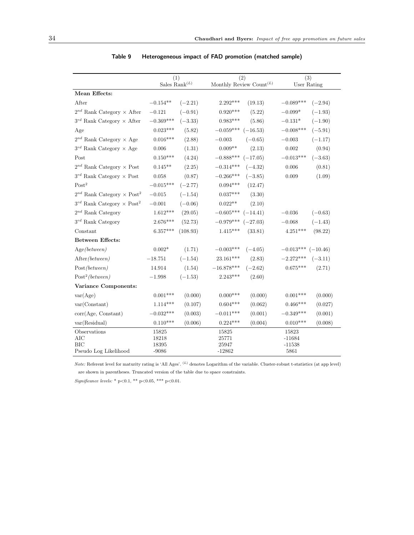|                                                            | (1)<br>Sales $\text{Rank}^{(L)}$   |           |                                     | (2)<br>Monthly Review Count <sup><math>(L)</math></sup> | (3)<br>User Rating                    |           |
|------------------------------------------------------------|------------------------------------|-----------|-------------------------------------|---------------------------------------------------------|---------------------------------------|-----------|
| Mean Effects:                                              |                                    |           |                                     |                                                         |                                       |           |
| After                                                      | $-0.154**$                         | $(-2.21)$ | $2.292***$                          | (19.13)                                                 | $-0.089***$                           | $(-2.94)$ |
| $2^{nd}$ Rank Category $\times$ After                      | $-0.121$                           | $(-0.91)$ | $0.920***$                          | (5.22)                                                  | $-0.099*$                             | $(-1.93)$ |
| $3^{rd}$ Rank Category $\times$ After                      | $-0.369***$                        | $(-3.33)$ | $0.983***$                          | (5.86)                                                  | $-0.131*$                             | $(-1.90)$ |
| Age                                                        | $0.023***$                         | (5.82)    | $-0.059***$                         | $(-16.53)$                                              | $-0.008***$                           | $(-5.91)$ |
| $2^{nd}$ Rank Category $\times$ Age                        | $0.016***$                         | (2.88)    | $-0.003$                            | $(-0.65)$                                               | $-0.003$                              | $(-1.17)$ |
| $3^{rd}$ Rank Category $\times$ Age                        | 0.006                              | (1.31)    | $0.009**$                           | (2.13)                                                  | 0.002                                 | (0.94)    |
| Post                                                       | $0.150***$                         | (4.24)    | $-0.888***$                         | $(-17.05)$                                              | $-0.013***$                           | $(-3.63)$ |
| $2^{nd}$ Rank Category $\times$ Post                       | $0.145**$                          | (2.25)    | $-0.314***$                         | $(-4.32)$                                               | 0.006                                 | (0.81)    |
| $3^{rd}$ Rank Category $\times$ Post                       | 0.058                              | (0.87)    | $-0.266***$                         | $(-3.85)$                                               | 0.009                                 | (1.09)    |
| Post <sup>2</sup>                                          | $-0.015***$                        | $(-2.77)$ | $0.094***$                          | (12.47)                                                 |                                       |           |
| $2^{nd}$ Rank Category $\times$ Post <sup>2</sup>          | $-0.015$                           | $(-1.54)$ | $0.037***$                          | (3.30)                                                  |                                       |           |
| $3^{rd}$ Rank Category × Post <sup>2</sup>                 | $-0.001$                           | $(-0.06)$ | $0.022**$                           | (2.10)                                                  |                                       |           |
| $2^{nd}$ Rank Category                                     | $1.612***$                         | (29.05)   | $-0.605***$                         | $(-14.41)$                                              | $-0.036$                              | $(-0.63)$ |
| $3^{rd}$ Rank Category                                     | $2.676***$                         | (52.73)   | $-0.979***$                         | $(-27.03)$                                              | $-0.068$                              | $(-1.43)$ |
| Constant                                                   | $6.357***$                         | (108.93)  | $1.415***$                          | (33.81)                                                 | $4.251***$                            | (98.22)   |
| <b>Between Effects:</b>                                    |                                    |           |                                     |                                                         |                                       |           |
| Age(between)                                               | $0.002*$                           | (1.71)    | $-0.003***$                         | $(-4.05)$                                               | $-0.013***$ $(-10.46)$                |           |
| After(between)                                             | $-18.751$                          | $(-1.54)$ | 23.161***                           | (2.83)                                                  | $-2.272***$                           | $(-3.11)$ |
| Post(between)                                              | 14.914                             | (1.54)    | $-16.878***$                        | $(-2.62)$                                               | $0.675***$                            | (2.71)    |
| Post <sup>2</sup> (between)                                | $-1.998$                           | $(-1.53)$ | $2.243***$                          | (2.60)                                                  |                                       |           |
| Variance Components:                                       |                                    |           |                                     |                                                         |                                       |           |
| var(Age)                                                   | $0.001***$                         | (0.000)   | $0.000***$                          | (0.000)                                                 | $0.001***$                            | (0.000)   |
| var(Constant)                                              | $1.114***$                         | (0.107)   | $0.604***$                          | (0.062)                                                 | $0.466***$                            | (0.027)   |
| corr(Age, Constant)                                        | $-0.032***$                        | (0.003)   | $-0.011***$                         | (0.001)                                                 | $-0.349***$                           | (0.001)   |
| var(Residual)                                              | $0.110***$                         | (0.006)   | $0.224***$                          | (0.004)                                                 | $0.010***$                            | (0.008)   |
| Observations<br>AIC<br><b>BIC</b><br>Pseudo Log Likelihood | 15825<br>18218<br>18395<br>$-9086$ |           | 15825<br>25771<br>25947<br>$-12862$ |                                                         | 15823<br>$-11684$<br>$-11538$<br>5861 |           |

Table 9 Heterogeneous impact of FAD promotion (matched sample)

Note: Referent level for maturity rating is 'All Ages'.  $^{(L)}$  denotes Logarithm of the variable. Cluster-robust t-statistics (at app level) are shown in parentheses. Truncated version of the table due to space constraints.

 $\label{eq:3} Significance~levels: \text{ }^{\ast} \text{ } \text{p}<\!0.1, \text{ } ^{\ast\ast} \text{ } \text{p}<\!0.05, \text{ } ^{\ast\ast\ast} \text{ } \text{p}<\!0.01.$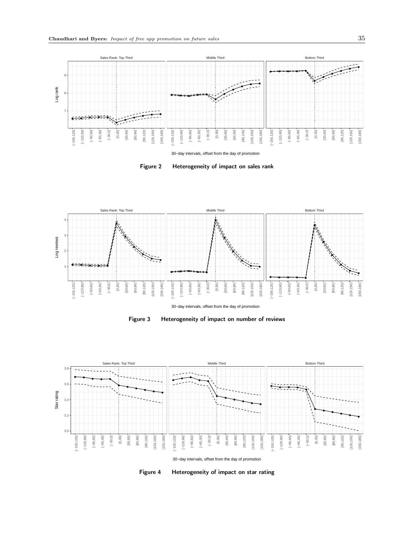

30−day intervals, offset from the day of promotion





30−day intervals, offset from the day of promotion

Figure 3 Heterogeneity of impact on number of reviews



Figure 4 Heterogeneity of impact on star rating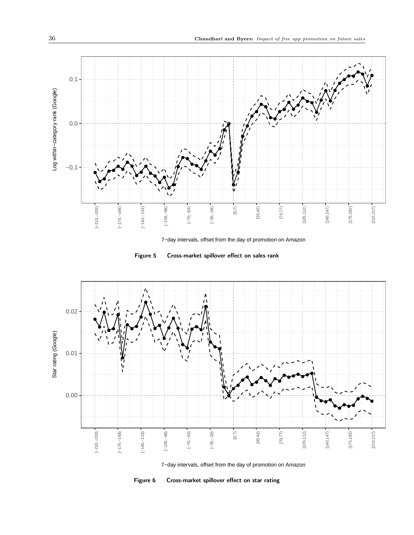

7−day intervals, offset from the day of promotion on Amazon





7−day intervals, offset from the day of promotion on Amazon

Figure 6 Cross-market spillover effect on star rating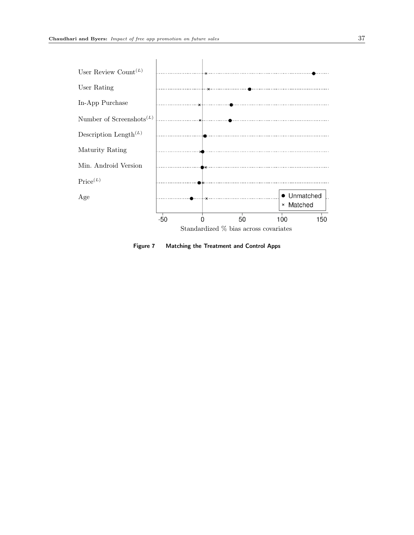